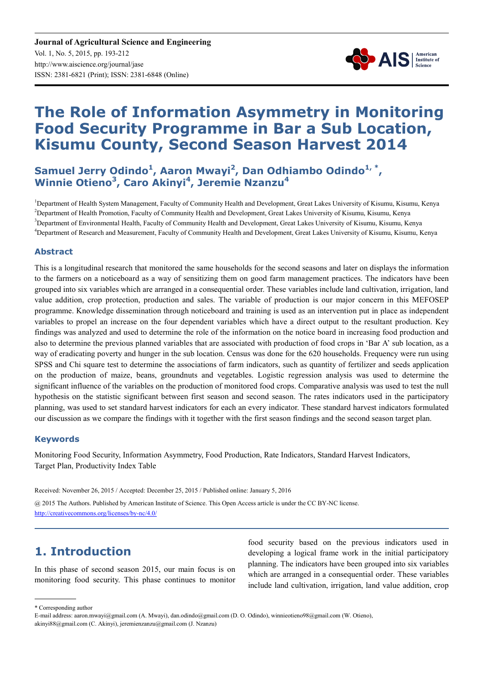

# **The Role of Information Asymmetry in Monitoring Food Security Programme in Bar a Sub Location, Kisumu County, Second Season Harvest 2014**

# Samuel Jerry Odindo<sup>1</sup>, Aaron Mwayi<sup>2</sup>, Dan Odhiambo Odindo<sup>1,\*</sup>, **Winnie Otieno<sup>3</sup> , Caro Akinyi<sup>4</sup> , Jeremie Nzanzu<sup>4</sup>**

<sup>1</sup>Department of Health System Management, Faculty of Community Health and Development, Great Lakes University of Kisumu, Kisumu, Kenya <sup>2</sup>Department of Health Promotion, Faculty of Community Health and Development, Great Lakes University of Kisumu, Kisumu, Kenya <sup>3</sup>Department of Environmental Health, Faculty of Community Health and Development, Great Lakes University of Kisumu, Kisumu, Kenya <sup>4</sup>Department of Research and Measurement, Faculty of Community Health and Development, Great Lakes University of Kisumu, Kisumu, Kenya

# **Abstract**

This is a longitudinal research that monitored the same households for the second seasons and later on displays the information to the farmers on a noticeboard as a way of sensitizing them on good farm management practices. The indicators have been grouped into six variables which are arranged in a consequential order. These variables include land cultivation, irrigation, land value addition, crop protection, production and sales. The variable of production is our major concern in this MEFOSEP programme. Knowledge dissemination through noticeboard and training is used as an intervention put in place as independent variables to propel an increase on the four dependent variables which have a direct output to the resultant production. Key findings was analyzed and used to determine the role of the information on the notice board in increasing food production and also to determine the previous planned variables that are associated with production of food crops in 'Bar A' sub location, as a way of eradicating poverty and hunger in the sub location. Census was done for the 620 households. Frequency were run using SPSS and Chi square test to determine the associations of farm indicators, such as quantity of fertilizer and seeds application on the production of maize, beans, groundnuts and vegetables. Logistic regression analysis was used to determine the significant influence of the variables on the production of monitored food crops. Comparative analysis was used to test the null hypothesis on the statistic significant between first season and second season. The rates indicators used in the participatory planning, was used to set standard harvest indicators for each an every indicator. These standard harvest indicators formulated our discussion as we compare the findings with it together with the first season findings and the second season target plan.

# **Keywords**

Monitoring Food Security, Information Asymmetry, Food Production, Rate Indicators, Standard Harvest Indicators, Target Plan, Productivity Index Table

Received: November 26, 2015 / Accepted: December 25, 2015 / Published online: January 5, 2016

@ 2015 The Authors. Published by American Institute of Science. This Open Access article is under the CC BY-NC license. http://creativecommons.org/licenses/by-nc/4.0/

# **1. Introduction**

In this phase of second season 2015, our main focus is on monitoring food security. This phase continues to monitor food security based on the previous indicators used in developing a logical frame work in the initial participatory planning. The indicators have been grouped into six variables which are arranged in a consequential order. These variables include land cultivation, irrigation, land value addition, crop

\* Corresponding author

E-mail address: aaron.mwayi@gmail.com (A. Mwayi), dan.odindo@gmail.com (D. O. Odindo), winnieotieno98@gmail.com (W. Otieno),

akinyi88@gmail.com (C. Akinyi), jeremienzanzu@gmail.com (J. Nzanzu)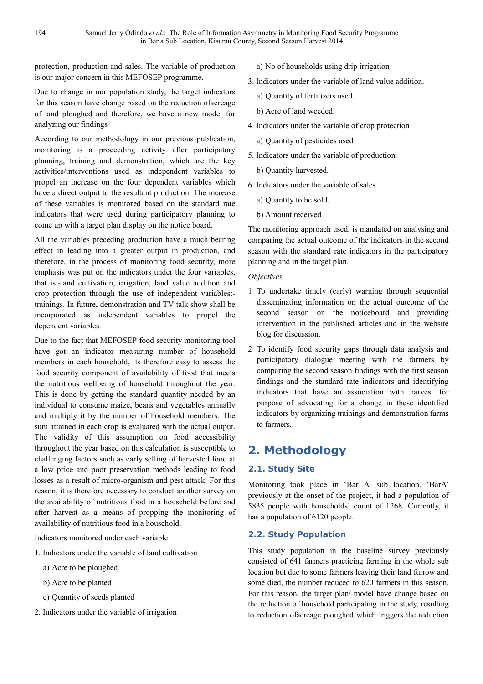protection, production and sales. The variable of production is our major concern in this MEFOSEP programme.

Due to change in our population study, the target indicators for this season have change based on the reduction ofacreage of land ploughed and therefore, we have a new model for analyzing our findings

According to our methodology in our previous publication, monitoring is a proceeding activity after participatory planning, training and demonstration, which are the key activities/interventions used as independent variables to propel an increase on the four dependent variables which have a direct output to the resultant production. The increase of these variables is monitored based on the standard rate indicators that were used during participatory planning to come up with a target plan display on the notice board.

All the variables preceding production have a much bearing effect in leading into a greater output in production, and therefore, in the process of monitoring food security, more emphasis was put on the indicators under the four variables, that is:-land cultivation, irrigation, land value addition and crop protection through the use of independent variables: trainings. In future, demonstration and TV talk show shall be incorporated as independent variables to propel the dependent variables.

Due to the fact that MEFOSEP food security monitoring tool have got an indicator measuring number of household members in each household, its therefore easy to assess the food security component of availability of food that meets the nutritious wellbeing of household throughout the year. This is done by getting the standard quantity needed by an individual to consume maize, beans and vegetables annually and multiply it by the number of household members. The sum attained in each crop is evaluated with the actual output. The validity of this assumption on food accessibility throughout the year based on this calculation is susceptible to challenging factors such as early selling of harvested food at a low price and poor preservation methods leading to food losses as a result of micro-organism and pest attack. For this reason, it is therefore necessary to conduct another survey on the availability of nutritious food in a household before and after harvest as a means of propping the monitoring of availability of nutritious food in a household.

Indicators monitored under each variable

- 1. Indicators under the variable of land cultivation
	- a) Acre to be ploughed
	- b) Acre to be planted
	- c) Quantity of seeds planted
- 2. Indicators under the variable of irrigation

a) No of households using drip irrigation

- 3. Indicators under the variable of land value addition.
	- a) Quantity of fertilizers used.
	- b) Acre of land weeded.
- 4. Indicators under the variable of crop protection

a) Quantity of pesticides used

- 5. Indicators under the variable of production.
	- b) Quantity harvested.
- 6. Indicators under the variable of sales
	- a) Quantity to be sold.
	- b) Amount received

The monitoring approach used, is mandated on analysing and comparing the actual outcome of the indicators in the second season with the standard rate indicators in the participatory planning and in the target plan.

#### *Objectives*

- 1 To undertake timely (early) warning through sequential disseminating information on the actual outcome of the second season on the noticeboard and providing intervention in the published articles and in the website blog for discussion.
- 2 To identify food security gaps through data analysis and participatory dialogue meeting with the farmers by comparing the second season findings with the first season findings and the standard rate indicators and identifying indicators that have an association with harvest for purpose of advocating for a change in these identified indicators by organizing trainings and demonstration farms to farmers.

# **2. Methodology**

# **2.1. Study Site**

Monitoring took place in 'Bar A' sub location. 'BarA' previously at the onset of the project, it had a population of 5835 people with households' count of 1268. Currently, it has a population of 6120 people.

#### **2.2. Study Population**

This study population in the baseline survey previously consisted of 641 farmers practicing farming in the whole sub location but due to some farmers leaving their land furrow and some died, the number reduced to 620 farmers in this season. For this reason, the target plan/ model have change based on the reduction of household participating in the study, resulting to reduction ofacreage ploughed which triggers the reduction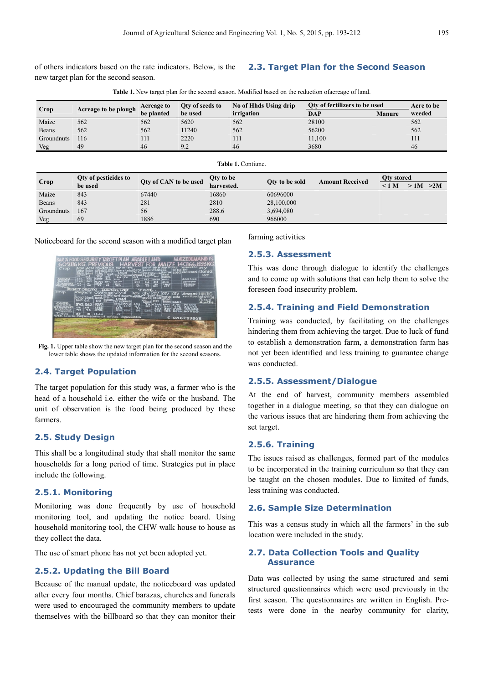of others indicators based on the rate indicators. Below, is the new target plan for the second season.

### **2.3. Target Plan for the Second Season**

| <b>Table 1.</b> New target plan for the second season. Modified based on the reduction of acreage of land. |
|------------------------------------------------------------------------------------------------------------|
|------------------------------------------------------------------------------------------------------------|

| Crop |                      | Oty of seeds to          | No of Hhds Using drip<br>Oty of fertilizers to be used |            |               | Acre to be |
|------|----------------------|--------------------------|--------------------------------------------------------|------------|---------------|------------|
|      |                      | be used                  | irrigation                                             | <b>DAP</b> | <b>Manure</b> | weeded     |
| 562  | 562                  | 5620                     | 562                                                    | 28100      |               | 562        |
| 562  | 562                  | 1240                     | 562                                                    | 56200      |               | 562        |
| 116  | 111                  | 2220                     | 111                                                    | 11,100     |               | 111        |
| 49   | 46                   | 9.2                      | 46                                                     | 3680       |               | 46         |
|      | Acreage to be plough | Acreage to<br>be planted |                                                        |            |               |            |

**Table 1.** Contiune.

| Table 1. Commune |                             |                       |            |                |                        |            |          |  |
|------------------|-----------------------------|-----------------------|------------|----------------|------------------------|------------|----------|--|
|                  | <b>Qty of pesticides to</b> |                       | Qty to be  |                | <b>Amount Received</b> | Qty stored |          |  |
| Crop             | be used                     | Qty of CAN to be used | harvested. | Oty to be sold |                        | < 1 M      | >1M > 2M |  |
| Maize            | 843                         | 67440                 | 16860      | 60696000       |                        |            |          |  |
| Beans            | 843                         | 281                   | 2810       | 28,100,000     |                        |            |          |  |
| Groundnuts       | 167                         | 56                    | 288.6      | 3,694,080      |                        |            |          |  |
| Veg              | 69                          | 1886                  | 690        | 966000         |                        |            |          |  |

Noticeboard for the second season with a modified target plan



Fig. 1. Upper table show the new target plan for the second season and the lower table shows the updated information for the second seasons.

# **2.4. Target Population**

The target population for this study was, a farmer who is the head of a household i.e. either the wife or the husband. The unit of observation is the food being produced by these farmers.

#### **2.5. Study Design**

This shall be a longitudinal study that shall monitor the same households for a long period of time. Strategies put in place include the following.

### **2.5.1. Monitoring**

Monitoring was done frequently by use of household monitoring tool, and updating the notice board. Using household monitoring tool, the CHW walk house to house as they collect the data.

The use of smart phone has not yet been adopted yet.

#### **2.5.2. Updating the Bill Board**

Because of the manual update, the noticeboard was updated after every four months. Chief barazas, churches and funerals were used to encouraged the community members to update themselves with the billboard so that they can monitor their farming activities

#### **2.5.3. Assessment**

This was done through dialogue to identify the challenges and to come up with solutions that can help them to solve the foreseen food insecurity problem.

#### **2.5.4. Training and Field Demonstration**

Training was conducted, by facilitating on the challenges hindering them from achieving the target. Due to luck of fund to establish a demonstration farm, a demonstration farm has not yet been identified and less training to guarantee change was conducted.

#### **2.5.5. Assessment/Dialogue**

At the end of harvest, community members assembled together in a dialogue meeting, so that they can dialogue on the various issues that are hindering them from achieving the set target.

#### **2.5.6. Training**

The issues raised as challenges, formed part of the modules to be incorporated in the training curriculum so that they can be taught on the chosen modules. Due to limited of funds, less training was conducted.

#### **2.6. Sample Size Determination**

This was a census study in which all the farmers' in the sub location were included in the study.

#### **2.7. Data Collection Tools and Quality Assurance**

Data was collected by using the same structured and semi structured questionnaires which were used previously in the first season. The questionnaires are written in English. Pretests were done in the nearby community for clarity,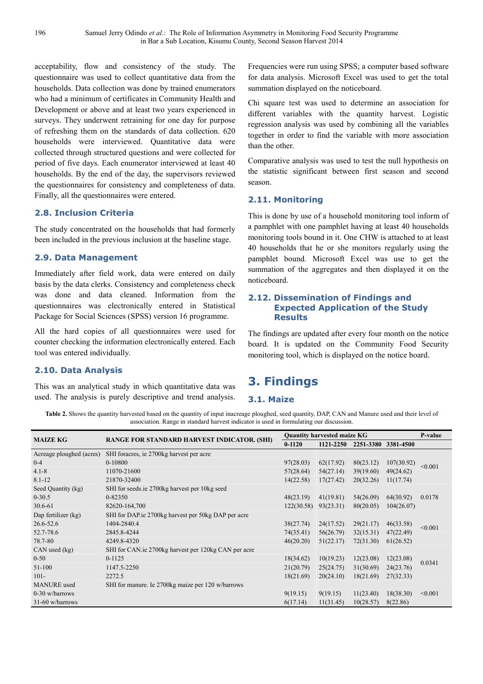acceptability, flow and consistency of the study. The questionnaire was used to collect quantitative data from the households. Data collection was done by trained enumerators who had a minimum of certificates in Community Health and Development or above and at least two years experienced in surveys. They underwent retraining for one day for purpose of refreshing them on the standards of data collection. 620 households were interviewed. Quantitative data were collected through structured questions and were collected for period of five days. Each enumerator interviewed at least 40 households. By the end of the day, the supervisors reviewed the questionnaires for consistency and completeness of data. Finally, all the questionnaires were entered.

# **2.8. Inclusion Criteria**

The study concentrated on the households that had formerly been included in the previous inclusion at the baseline stage.

#### **2.9. Data Management**

Immediately after field work, data were entered on daily basis by the data clerks. Consistency and completeness check was done and data cleaned. Information from the questionnaires was electronically entered in Statistical Package for Social Sciences (SPSS) version 16 programme.

All the hard copies of all questionnaires were used for counter checking the information electronically entered. Each tool was entered individually.

# **2.10. Data Analysis**

This was an analytical study in which quantitative data was used. The analysis is purely descriptive and trend analysis.

Frequencies were run using SPSS; a computer based software for data analysis. Microsoft Excel was used to get the total summation displayed on the noticeboard.

Chi square test was used to determine an association for different variables with the quantity harvest. Logistic regression analysis was used by combining all the variables together in order to find the variable with more association than the other.

Comparative analysis was used to test the null hypothesis on the statistic significant between first season and second season.

# **2.11. Monitoring**

This is done by use of a household monitoring tool inform of a pamphlet with one pamphlet having at least 40 households monitoring tools bound in it. One CHW is attached to at least 40 households that he or she monitors regularly using the pamphlet bound. Microsoft Excel was use to get the summation of the aggregates and then displayed it on the noticeboard.

### **2.12. Dissemination of Findings and Expected Application of the Study Results**

The findings are updated after every four month on the notice board. It is updated on the Community Food Security monitoring tool, which is displayed on the notice board.

# **3. Findings**

# **3.1. Maize**

Table 2. Shows the quantity harvested based on the quantity of input inacreage ploughed, seed quantity, DAP, CAN and Manure used and their level of association. Range in standard harvest indicator is used in formulating our discussion.

| <b>MAIZE KG</b>          | <b>RANGE FOR STANDARD HARVEST INDICATOR. (SHI)</b>   | <b>Ouantity harvested maize KG</b> |           |                     |            | P-value |
|--------------------------|------------------------------------------------------|------------------------------------|-----------|---------------------|------------|---------|
|                          |                                                      |                                    | 1121-2250 | 2251-3380 3381-4500 |            |         |
| Acreage ploughed (acres) | SHI foracres, ie 2700kg harvest per acre             |                                    |           |                     |            |         |
| $0 - 4$                  | $0 - 10800$                                          | 97(28.03)                          | 62(17.92) | 80(23.12)           | 107(30.92) | < 0.001 |
| $4.1 - 8$                | 11070-21600                                          | 57(28.64)                          | 54(27.14) | 39(19.60)           | 49(24.62)  |         |
| $8.1 - 12$               | 21870-32400                                          | 14(22.58)                          | 17(27.42) | 20(32.26)           | 11(17.74)  |         |
| Seed Quantity (kg)       | SHI for seeds ie 2700kg harvest per 10kg seed        |                                    |           |                     |            |         |
| $0-30.5$                 | $0 - 82350$                                          | 48(23.19)                          | 41(19.81) | 54(26.09)           | 64(30.92)  | 0.0178  |
| $30.6 - 61$              | 82620-164,700                                        | 122(30.58)                         | 93(23.31) | 80(20.05)           | 104(26.07) |         |
| Dap fertilizer (kg)      | SHI for DAP ie 2700kg harvest per 50kg DAP per acre  |                                    |           |                     |            |         |
| 26.6-52.6                | 1404-2840.4                                          | 38(27.74)                          | 24(17.52) | 29(21.17)           | 46(33.58)  | < 0.001 |
| 52.7-78.6                | 2845.8-4244                                          | 74(35.41)                          | 56(26.79) | 32(15.31)           | 47(22.49)  |         |
| 78.7-80                  | 4249.8-4320                                          | 46(20.20)                          | 51(22.17) | 72(31.30)           | 61(26.52)  |         |
| $CAN$ used $(kg)$        | SHI for CAN ie 2700kg harvest per 120kg CAN per acre |                                    |           |                     |            |         |
| $0 - 50$                 | $0-1125$                                             | 18(34.62)                          | 10(19.23) | 12(23.08)           | 12(23.08)  | 0.0341  |
| 51-100                   | 1147.5-2250                                          | 21(20.79)                          | 25(24.75) | 31(30.69)           | 24(23.76)  |         |
| $101 -$                  | 2272.5                                               | 18(21.69)                          | 20(24.10) | 18(21.69)           | 27(32.33)  |         |
| <b>MANURE</b> used       | SHI for manure. Ie 2700kg maize per 120 w/barrows    |                                    |           |                     |            |         |
| $0-30$ w/barrows         |                                                      | 9(19.15)                           | 9(19.15)  | 11(23.40)           | 18(38.30)  | < 0.001 |
| $31-60$ w/barrows        |                                                      | 6(17.14)                           | 11(31.45) | 10(28.57)           | 8(22.86)   |         |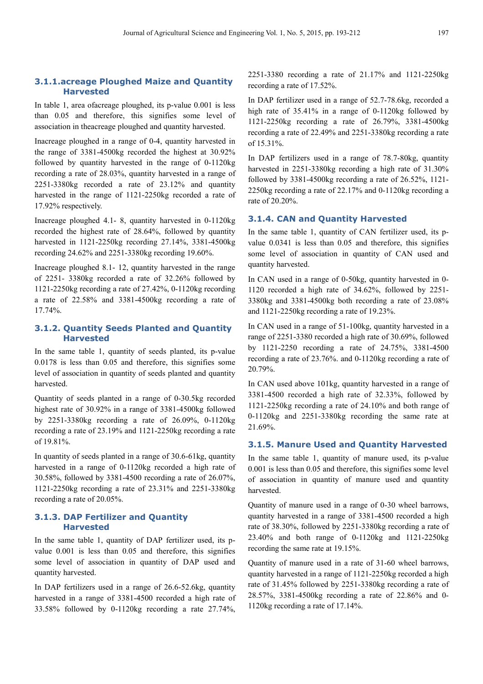In table 1, area ofacreage ploughed, its p-value 0.001 is less than 0.05 and therefore, this signifies some level of association in theacreage ploughed and quantity harvested.

Inacreage ploughed in a range of 0-4, quantity harvested in the range of 3381-4500kg recorded the highest at 30.92% followed by quantity harvested in the range of 0-1120kg recording a rate of 28.03%, quantity harvested in a range of 2251-3380kg recorded a rate of 23.12% and quantity harvested in the range of 1121-2250kg recorded a rate of 17.92% respectively.

Inacreage ploughed 4.1- 8, quantity harvested in 0-1120kg recorded the highest rate of 28.64%, followed by quantity harvested in 1121-2250kg recording 27.14%, 3381-4500kg recording 24.62% and 2251-3380kg recording 19.60%.

Inacreage ploughed 8.1- 12, quantity harvested in the range of 2251- 3380kg recorded a rate of 32.26% followed by 1121-2250kg recording a rate of 27.42%, 0-1120kg recording a rate of 22.58% and 3381-4500kg recording a rate of 17.74%.

# **3.1.2. Quantity Seeds Planted and Quantity Harvested**

In the same table 1, quantity of seeds planted, its p-value 0.0178 is less than 0.05 and therefore, this signifies some level of association in quantity of seeds planted and quantity harvested.

Quantity of seeds planted in a range of 0-30.5kg recorded highest rate of 30.92% in a range of 3381-4500kg followed by 2251-3380kg recording a rate of 26.09%, 0-1120kg recording a rate of 23.19% and 1121-2250kg recording a rate of 19.81%.

In quantity of seeds planted in a range of 30.6-61kg, quantity harvested in a range of 0-1120kg recorded a high rate of 30.58%, followed by 3381-4500 recording a rate of 26.07%, 1121-2250kg recording a rate of 23.31% and 2251-3380kg recording a rate of 20.05%.

# **3.1.3. DAP Fertilizer and Quantity Harvested**

In the same table 1, quantity of DAP fertilizer used, its pvalue 0.001 is less than 0.05 and therefore, this signifies some level of association in quantity of DAP used and quantity harvested.

In DAP fertilizers used in a range of 26.6-52.6kg, quantity harvested in a range of 3381-4500 recorded a high rate of 33.58% followed by 0-1120kg recording a rate 27.74%, 2251-3380 recording a rate of 21.17% and 1121-2250kg recording a rate of 17.52%.

In DAP fertilizer used in a range of 52.7-78.6kg, recorded a high rate of 35.41% in a range of 0-1120kg followed by 1121-2250kg recording a rate of 26.79%, 3381-4500kg recording a rate of 22.49% and 2251-3380kg recording a rate of 15.31%.

In DAP fertilizers used in a range of 78.7-80kg, quantity harvested in 2251-3380kg recording a high rate of 31.30% followed by 3381-4500kg recording a rate of 26.52%, 1121- 2250kg recording a rate of 22.17% and 0-1120kg recording a rate of 20.20%.

# **3.1.4. CAN and Quantity Harvested**

In the same table 1, quantity of CAN fertilizer used, its pvalue 0.0341 is less than 0.05 and therefore, this signifies some level of association in quantity of CAN used and quantity harvested.

In CAN used in a range of 0-50kg, quantity harvested in 0- 1120 recorded a high rate of 34.62%, followed by 2251- 3380kg and 3381-4500kg both recording a rate of 23.08% and 1121-2250kg recording a rate of 19.23%.

In CAN used in a range of 51-100kg, quantity harvested in a range of 2251-3380 recorded a high rate of 30.69%, followed by 1121-2250 recording a rate of 24.75%, 3381-4500 recording a rate of 23.76%. and 0-1120kg recording a rate of 20.79%.

In CAN used above 101kg, quantity harvested in a range of 3381-4500 recorded a high rate of 32.33%, followed by 1121-2250kg recording a rate of 24.10% and both range of 0-1120kg and 2251-3380kg recording the same rate at 21.69%.

#### **3.1.5. Manure Used and Quantity Harvested**

In the same table 1, quantity of manure used, its p-value 0.001 is less than 0.05 and therefore, this signifies some level of association in quantity of manure used and quantity harvested.

Quantity of manure used in a range of 0-30 wheel barrows, quantity harvested in a range of 3381-4500 recorded a high rate of 38.30%, followed by 2251-3380kg recording a rate of 23.40% and both range of 0-1120kg and 1121-2250kg recording the same rate at 19.15%.

Quantity of manure used in a rate of 31-60 wheel barrows, quantity harvested in a range of 1121-2250kg recorded a high rate of 31.45% followed by 2251-3380kg recording a rate of 28.57%, 3381-4500kg recording a rate of 22.86% and 0- 1120kg recording a rate of 17.14%.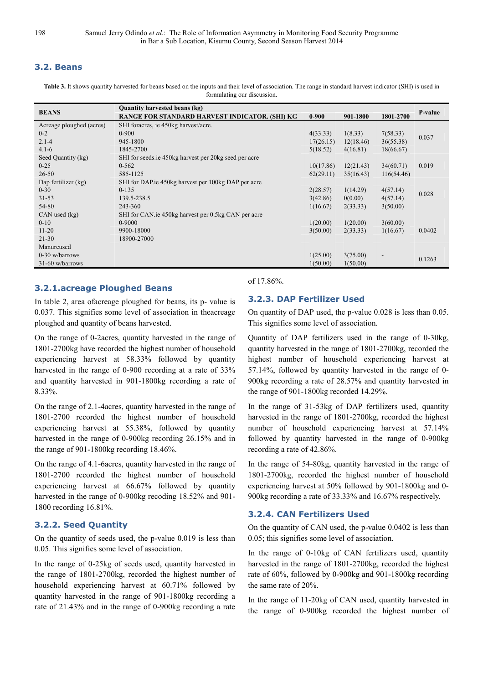# **3.2. Beans**

**Table 3.** It shows quantity harvested for beans based on the inputs and their level of association. The range in standard harvest indicator (SHI) is used in formulating our discussion.

| <b>BEANS</b>             | Quantity harvested beans (kg)                         |           |           |            |                |  |  |  |
|--------------------------|-------------------------------------------------------|-----------|-----------|------------|----------------|--|--|--|
|                          | RANGE FOR STANDARD HARVEST INDICATOR. (SHI) KG        | $0 - 900$ | 901-1800  | 1801-2700  | <b>P-value</b> |  |  |  |
| Acreage ploughed (acres) | SHI foracres, ie 450kg harvest/acre.                  |           |           |            |                |  |  |  |
| $0 - 2$                  | $0-900$                                               | 4(33.33)  | 1(8.33)   | 7(58.33)   | 0.037          |  |  |  |
| $2.1 - 4$                | 945-1800                                              | 17(26.15) | 12(18.46) | 36(55.38)  |                |  |  |  |
| $4.1 - 6$                | 1845-2700                                             | 5(18.52)  | 4(16.81)  | 18(66.67)  |                |  |  |  |
| Seed Quantity (kg)       | SHI for seeds ie 450kg harvest per 20kg seed per acre |           |           |            |                |  |  |  |
| $0 - 25$                 | $0 - 562$                                             | 10(17.86) | 12(21.43) | 34(60.71)  | 0.019          |  |  |  |
| $26 - 50$                | 585-1125                                              | 62(29.11) | 35(16.43) | 116(54.46) |                |  |  |  |
| Dap fertilizer (kg)      | SHI for DAP ie 450kg harvest per 100kg DAP per acre   |           |           |            |                |  |  |  |
| $0 - 30$                 | $0-135$                                               | 2(28.57)  | 1(14.29)  | 4(57.14)   | 0.028          |  |  |  |
| 31-53                    | 139.5-238.5                                           | 3(42.86)  | 0(0.00)   | 4(57.14)   |                |  |  |  |
| 54-80                    | 243-360                                               | 1(16.67)  | 2(33.33)  | 3(50.00)   |                |  |  |  |
| $CAN$ used $(kg)$        | SHI for CAN ie 450kg harvest per 0.5kg CAN per acre   |           |           |            |                |  |  |  |
| $0 - 10$                 | $0-9000$                                              | 1(20.00)  | 1(20.00)  | 3(60.00)   |                |  |  |  |
| $11 - 20$                | 9900-18000                                            | 3(50.00)  | 2(33.33)  | 1(16.67)   | 0.0402         |  |  |  |
| $21 - 30$                | 18900-27000                                           |           |           |            |                |  |  |  |
| Manureused               |                                                       |           |           |            |                |  |  |  |
| $0-30$ w/barrows         |                                                       | 1(25.00)  | 3(75.00)  | ٠          | 0.1263         |  |  |  |
| $31-60$ w/barrows        |                                                       | 1(50.00)  | 1(50.00)  |            |                |  |  |  |

# **3.2.1.acreage Ploughed Beans**

In table 2, area ofacreage ploughed for beans, its p- value is 0.037. This signifies some level of association in theacreage ploughed and quantity of beans harvested.

On the range of 0-2acres, quantity harvested in the range of 1801-2700kg have recorded the highest number of household experiencing harvest at 58.33% followed by quantity harvested in the range of 0-900 recording at a rate of 33% and quantity harvested in 901-1800kg recording a rate of 8.33%.

On the range of 2.1-4acres, quantity harvested in the range of 1801-2700 recorded the highest number of household experiencing harvest at 55.38%, followed by quantity harvested in the range of 0-900kg recording 26.15% and in the range of 901-1800kg recording 18.46%.

On the range of 4.1-6acres, quantity harvested in the range of 1801-2700 recorded the highest number of household experiencing harvest at 66.67% followed by quantity harvested in the range of 0-900kg recoding 18.52% and 901- 1800 recording 16.81%.

# **3.2.2. Seed Quantity**

On the quantity of seeds used, the p-value 0.019 is less than 0.05. This signifies some level of association.

In the range of 0-25kg of seeds used, quantity harvested in the range of 1801-2700kg, recorded the highest number of household experiencing harvest at 60.71% followed by quantity harvested in the range of 901-1800kg recording a rate of 21.43% and in the range of 0-900kg recording a rate

#### of 17.86%.

# **3.2.3. DAP Fertilizer Used**

On quantity of DAP used, the p-value 0.028 is less than 0.05. This signifies some level of association.

Quantity of DAP fertilizers used in the range of 0-30kg, quantity harvested in the range of 1801-2700kg, recorded the highest number of household experiencing harvest at 57.14%, followed by quantity harvested in the range of 0- 900kg recording a rate of 28.57% and quantity harvested in the range of 901-1800kg recorded 14.29%.

In the range of 31-53kg of DAP fertilizers used, quantity harvested in the range of 1801-2700kg, recorded the highest number of household experiencing harvest at 57.14% followed by quantity harvested in the range of 0-900kg recording a rate of 42.86%.

In the range of 54-80kg, quantity harvested in the range of 1801-2700kg, recorded the highest number of household experiencing harvest at 50% followed by 901-1800kg and 0- 900kg recording a rate of 33.33% and 16.67% respectively.

### **3.2.4. CAN Fertilizers Used**

On the quantity of CAN used, the p-value 0.0402 is less than 0.05; this signifies some level of association.

In the range of 0-10kg of CAN fertilizers used, quantity harvested in the range of 1801-2700kg, recorded the highest rate of 60%, followed by 0-900kg and 901-1800kg recording the same rate of 20%.

In the range of 11-20kg of CAN used, quantity harvested in the range of 0-900kg recorded the highest number of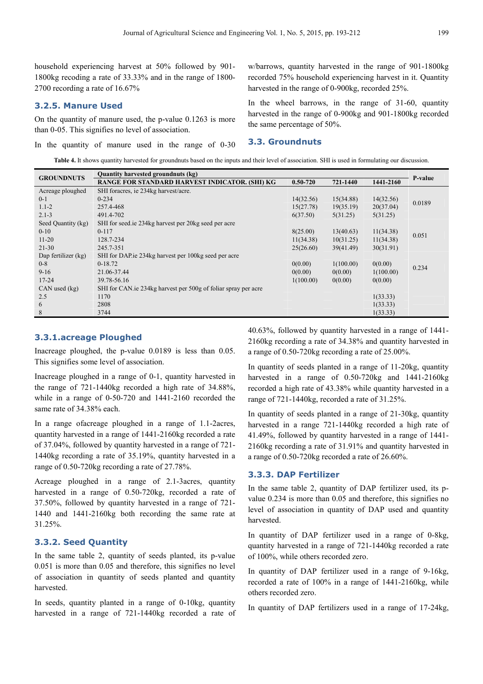household experiencing harvest at 50% followed by 901- 1800kg recoding a rate of 33.33% and in the range of 1800- 2700 recording a rate of 16.67%

#### **3.2.5. Manure Used**

On the quantity of manure used, the p-value 0.1263 is more than 0-05. This signifies no level of association.

In the quantity of manure used in the range of 0-30

w/barrows, quantity harvested in the range of 901-1800kg recorded 75% household experiencing harvest in it. Quantity harvested in the range of 0-900kg, recorded 25%.

In the wheel barrows, in the range of 31-60, quantity harvested in the range of 0-900kg and 901-1800kg recorded the same percentage of 50%.

#### **3.3. Groundnuts**

**Table 4.** It shows quantity harvested for groundnuts based on the inputs and their level of association. SHI is used in formulating our discussion.

| <b>GROUNDNUTS</b>   | Quantity harvested groundnuts (kg)                             |              |           |           |         |  |  |  |
|---------------------|----------------------------------------------------------------|--------------|-----------|-----------|---------|--|--|--|
|                     | RANGE FOR STANDARD HARVEST INDICATOR. (SHI) KG                 | $0.50 - 720$ | 721-1440  | 1441-2160 | P-value |  |  |  |
| Acreage ploughed    | SHI foracres, ie 234kg harvest/acre.                           |              |           |           |         |  |  |  |
| $0 - 1$             | $0 - 234$                                                      | 14(32.56)    | 15(34.88) | 14(32.56) | 0.0189  |  |  |  |
| $1.1 - 2$           | 257.4-468                                                      | 15(27.78)    | 19(35.19) | 20(37.04) |         |  |  |  |
| $2.1 - 3$           | 491.4-702                                                      | 6(37.50)     | 5(31.25)  | 5(31.25)  |         |  |  |  |
| Seed Quantity (kg)  | SHI for seed ie 234kg harvest per 20kg seed per acre           |              |           |           |         |  |  |  |
| $0 - 10$            | $0 - 117$                                                      | 8(25.00)     | 13(40.63) | 11(34.38) |         |  |  |  |
| $11 - 20$           | 128.7-234                                                      | 11(34.38)    | 10(31.25) | 11(34.38) | 0.051   |  |  |  |
| $21 - 30$           | 245.7-351                                                      | 25(26.60)    | 39(41.49) | 30(31.91) |         |  |  |  |
| Dap fertilizer (kg) | SHI for DAP ie 234kg harvest per 100kg seed per acre           |              |           |           |         |  |  |  |
| $0 - 8$             | $0-18.72$                                                      | 0(0.00)      | 1(100.00) | 0(0.00)   | 0.234   |  |  |  |
| $9 - 16$            | 21.06-37.44                                                    | 0(0.00)      | 0(0.00)   | 1(100.00) |         |  |  |  |
| $17 - 24$           | 39.78-56.16                                                    | 1(100.00)    | 0(0.00)   | 0(0.00)   |         |  |  |  |
| $CAN$ used $(kg)$   | SHI for CAN ie 234kg harvest per 500g of foliar spray per acre |              |           |           |         |  |  |  |
| 2.5                 | 1170                                                           |              |           | 1(33.33)  |         |  |  |  |
| 6                   | 2808                                                           |              |           | 1(33.33)  |         |  |  |  |
| 8                   | 3744                                                           |              |           | 1(33.33)  |         |  |  |  |

#### **3.3.1.acreage Ploughed**

Inacreage ploughed, the p-value 0.0189 is less than 0.05. This signifies some level of association.

Inacreage ploughed in a range of 0-1, quantity harvested in the range of 721-1440kg recorded a high rate of 34.88%, while in a range of 0-50-720 and 1441-2160 recorded the same rate of 34.38% each.

In a range ofacreage ploughed in a range of 1.1-2acres, quantity harvested in a range of 1441-2160kg recorded a rate of 37.04%, followed by quantity harvested in a range of 721- 1440kg recording a rate of 35.19%, quantity harvested in a range of 0.50-720kg recording a rate of 27.78%.

Acreage ploughed in a range of 2.1-3acres, quantity harvested in a range of 0.50-720kg, recorded a rate of 37.50%, followed by quantity harvested in a range of 721- 1440 and 1441-2160kg both recording the same rate at 31.25%.

#### **3.3.2. Seed Quantity**

In the same table 2, quantity of seeds planted, its p-value 0.051 is more than 0.05 and therefore, this signifies no level of association in quantity of seeds planted and quantity harvested.

In seeds, quantity planted in a range of 0-10kg, quantity harvested in a range of 721-1440kg recorded a rate of 40.63%, followed by quantity harvested in a range of 1441- 2160kg recording a rate of 34.38% and quantity harvested in a range of 0.50-720kg recording a rate of 25.00%.

In quantity of seeds planted in a range of 11-20kg, quantity harvested in a range of 0.50-720kg and 1441-2160kg recorded a high rate of 43.38% while quantity harvested in a range of 721-1440kg, recorded a rate of 31.25%.

In quantity of seeds planted in a range of 21-30kg, quantity harvested in a range 721-1440kg recorded a high rate of 41.49%, followed by quantity harvested in a range of 1441- 2160kg recording a rate of 31.91% and quantity harvested in a range of 0.50-720kg recorded a rate of 26.60%.

#### **3.3.3. DAP Fertilizer**

In the same table 2, quantity of DAP fertilizer used, its pvalue 0.234 is more than 0.05 and therefore, this signifies no level of association in quantity of DAP used and quantity harvested.

In quantity of DAP fertilizer used in a range of 0-8kg, quantity harvested in a range of 721-1440kg recorded a rate of 100%, while others recorded zero.

In quantity of DAP fertilizer used in a range of 9-16kg, recorded a rate of 100% in a range of 1441-2160kg, while others recorded zero.

In quantity of DAP fertilizers used in a range of 17-24kg,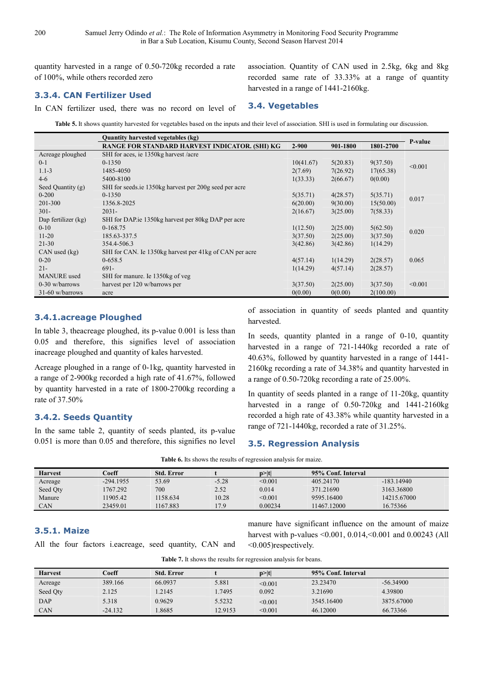quantity harvested in a range of 0.50-720kg recorded a rate of 100%, while others recorded zero

**3.3.4. CAN Fertilizer Used** 

In CAN fertilizer used, there was no record on level of

association. Quantity of CAN used in 2.5kg, 6kg and 8kg recorded same rate of 33.33% at a range of quantity harvested in a range of 1441-2160kg.

#### **3.4. Vegetables**

**Table 5.** It shows quantity harvested for vegetables based on the inputs and their level of association. SHI is used in formulating our discussion.

|                     | Quantity harvested vegetables (kg)                      |           |          |           |         |
|---------------------|---------------------------------------------------------|-----------|----------|-----------|---------|
|                     | RANGE FOR STANDARD HARVEST INDICATOR. (SHI) KG          | $2 - 900$ | 901-1800 | 1801-2700 | P-value |
| Acreage ploughed    | SHI for aces, ie 1350kg harvest / acre                  |           |          |           |         |
| $0 - 1$             | $0 - 1350$                                              | 10(41.67) | 5(20.83) | 9(37.50)  | < 0.001 |
| $1.1 - 3$           | 1485-4050                                               | 2(7.69)   | 7(26.92) | 17(65.38) |         |
| $4 - 6$             | 5400-8100                                               | 1(33.33)  | 2(66.67) | 0(0.00)   |         |
| Seed Quantity (g)   | SHI for seeds ie 1350kg harvest per 200g seed per acre  |           |          |           |         |
| $0 - 200$           | $0 - 1350$                                              | 5(35.71)  | 4(28.57) | 5(35.71)  | 0.017   |
| 201-300             | 1356.8-2025                                             | 6(20.00)  | 9(30.00) | 15(50.00) |         |
| $301 -$             | $2031 -$                                                | 2(16.67)  | 3(25.00) | 7(58.33)  |         |
| Dap fertilizer (kg) | SHI for DAP ie 1350kg harvest per 80kg DAP per acre     |           |          |           |         |
| $0 - 10$            | $0-168.75$                                              | 1(12.50)  | 2(25.00) | 5(62.50)  | 0.020   |
| $11 - 20$           | 185.63-337.5                                            | 3(37.50)  | 2(25.00) | 3(37.50)  |         |
| $21 - 30$           | 354.4-506.3                                             | 3(42.86)  | 3(42.86) | 1(14.29)  |         |
| $CAN$ used $(kg)$   | SHI for CAN. Ie 1350kg harvest per 41kg of CAN per acre |           |          |           |         |
| $0 - 20$            | $0-658.5$                                               | 4(57.14)  | 1(14.29) | 2(28.57)  | 0.065   |
| $21 -$              | $691 -$                                                 | 1(14.29)  | 4(57.14) | 2(28.57)  |         |
| <b>MANURE</b> used  | SHI for manure. Ie 1350kg of veg                        |           |          |           |         |
| $0-30$ w/barrows    | harvest per 120 w/barrows per                           | 3(37.50)  | 2(25.00) | 3(37.50)  | < 0.001 |
| 31-60 w/barrows     | acre                                                    | 0(0.00)   | 0(0.00)  | 2(100.00) |         |

# **3.4.1.acreage Ploughed**

In table 3, theacreage ploughed, its p-value 0.001 is less than 0.05 and therefore, this signifies level of association inacreage ploughed and quantity of kales harvested.

Acreage ploughed in a range of 0-1kg, quantity harvested in a range of 2-900kg recorded a high rate of 41.67%, followed by quantity harvested in a rate of 1800-2700kg recording a rate of 37.50%

# **3.4.2. Seeds Quantity**

In the same table 2, quantity of seeds planted, its p-value 0.051 is more than 0.05 and therefore, this signifies no level of association in quantity of seeds planted and quantity harvested.

In seeds, quantity planted in a range of 0-10, quantity harvested in a range of 721-1440kg recorded a rate of 40.63%, followed by quantity harvested in a range of 1441- 2160kg recording a rate of 34.38% and quantity harvested in a range of 0.50-720kg recording a rate of 25.00%.

In quantity of seeds planted in a range of 11-20kg, quantity harvested in a range of 0.50-720kg and 1441-2160kg recorded a high rate of 43.38% while quantity harvested in a range of 721-1440kg, recorded a rate of 31.25%.

#### **3.5. Regression Analysis**

| <b>Table 6.</b> Its shows the results of regression analysis for maize. |  |
|-------------------------------------------------------------------------|--|
|                                                                         |  |

| <b>Harvest</b> | Coeff       | <b>Std. Error</b> |         | $p>$  t | 95% Conf. Interval |              |
|----------------|-------------|-------------------|---------|---------|--------------------|--------------|
| Acreage        | $-294.1955$ | 53.69             | $-5.28$ | < 0.001 | 405.24170          | $-183.14940$ |
| Seed Qty       | 1767.292    | 700               | 2.52    | 0.014   | 371.21690          | 3163.36800   |
| Manure         | 11905.42    | 1158.634          | 10.28   | < 0.001 | 9595.16400         | 14215.67000  |
| <b>CAN</b>     | 23459.01    | 1167.883          | 17.9    | 0.00234 | 11467.12000        | 16.75366     |

### **3.5.1. Maize**

All the four factors i.eacreage, seed quantity, CAN and

manure have significant influence on the amount of maize harvest with p-values <0.001, 0.014, <0.001 and 0.00243 (All <0.005)respectively.

|                |           |                   | . .     |         |                    |             |
|----------------|-----------|-------------------|---------|---------|--------------------|-------------|
| <b>Harvest</b> | Coeff     | <b>Std. Error</b> |         | p >  t  | 95% Conf. Interval |             |
| Acreage        | 389.166   | 66.0937           | 5.881   | < 0.001 | 23.23470           | $-56.34900$ |
| Seed Qty       | 2.125     | .2145             | .7495   | 0.092   | 3.21690            | 4.39800     |
| <b>DAP</b>     | 5.318     | 0.9629            | 5.5232  | < 0.001 | 3545.16400         | 3875,67000  |
| <b>CAN</b>     | $-24.132$ | .8685             | 12.9153 | < 0.001 | 46.12000           | 66.73366    |

**Table 7.** It shows the results for regression analysis for beans.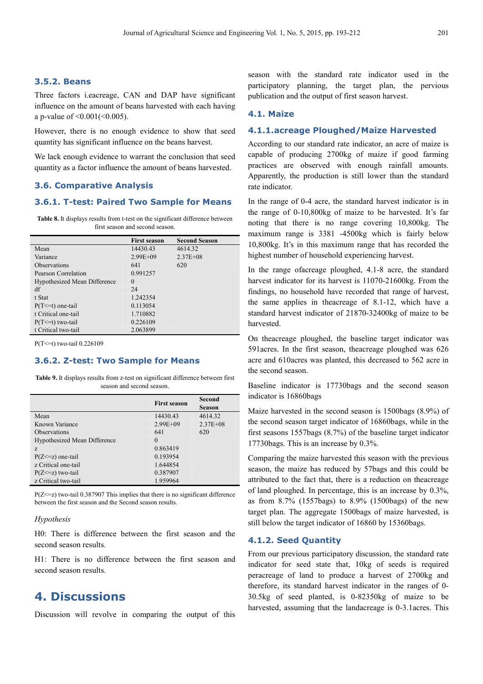#### **3.5.2. Beans**

Three factors i.eacreage, CAN and DAP have significant influence on the amount of beans harvested with each having a p-value of <0.001(<0.005).

However, there is no enough evidence to show that seed quantity has significant influence on the beans harvest.

We lack enough evidence to warrant the conclusion that seed quantity as a factor influence the amount of beans harvested.

#### **3.6. Comparative Analysis**

### **3.6.1. T-test: Paired Two Sample for Means**

**Table 8.** It displays results from t-test on the significant difference between first season and second season.

|                              | <b>First season</b> | <b>Second Season</b> |
|------------------------------|---------------------|----------------------|
| Mean                         | 14430.43            | 4614.32              |
| Variance                     | $2.99E + 09$        | $2.37E + 08$         |
| <b>Observations</b>          | 641                 | 620                  |
| Pearson Correlation          | 0.991257            |                      |
| Hypothesized Mean Difference | $\theta$            |                      |
| df                           | 24                  |                      |
| t Stat                       | 1.242354            |                      |
| $P(T \le t)$ one-tail        | 0.113054            |                      |
| t Critical one-tail          | 1.710882            |                      |
| $P(T \le t)$ two-tail        | 0.226109            |                      |
| t Critical two-tail          | 2.063899            |                      |

P(T<=t) two-tail 0.226109

#### **3.6.2. Z-test: Two Sample for Means**

**Table 9.** It displays results from z-test on significant difference between first season and second season.

|                              | <b>First season</b> | Second<br>Season |
|------------------------------|---------------------|------------------|
| Mean                         | 14430.43            | 4614.32          |
| Known Variance               | $2.99E + 09$        | $2.37E + 08$     |
| <b>Observations</b>          | 641                 | 620              |
| Hypothesized Mean Difference | $\theta$            |                  |
| $Z_{\cdot}$                  | 0.863419            |                  |
| $P(Z \leq z)$ one-tail       | 0.193954            |                  |
| z Critical one-tail          | 1.644854            |                  |
| $P(Z \leq z)$ two-tail       | 0.387907            |                  |
| z Critical two-tail          | 1.959964            |                  |

 $P(Z \le z)$  two-tail 0.387907 This implies that there is no significant difference between the first season and the Second season results.

#### *Hypothesis*

H0: There is difference between the first season and the second season results.

H1: There is no difference between the first season and second season results.

# **4. Discussions**

Discussion will revolve in comparing the output of this

season with the standard rate indicator used in the participatory planning, the target plan, the pervious publication and the output of first season harvest.

#### **4.1. Maize**

#### **4.1.1.acreage Ploughed/Maize Harvested**

According to our standard rate indicator, an acre of maize is capable of producing 2700kg of maize if good farming practices are observed with enough rainfall amounts. Apparently, the production is still lower than the standard rate indicator.

In the range of 0-4 acre, the standard harvest indicator is in the range of 0-10,800kg of maize to be harvested. It's far noting that there is no range covering 10,800kg. The maximum range is 3381 -4500kg which is fairly below 10,800kg. It's in this maximum range that has recorded the highest number of household experiencing harvest.

In the range ofacreage ploughed, 4.1-8 acre, the standard harvest indicator for its harvest is 11070-21600kg. From the findings, no household have recorded that range of harvest, the same applies in theacreage of 8.1-12, which have a standard harvest indicator of 21870-32400kg of maize to be harvested.

On theacreage ploughed, the baseline target indicator was 591acres. In the first season, theacreage ploughed was 626 acre and 610acres was planted, this decreased to 562 acre in the second season.

Baseline indicator is 17730bags and the second season indicator is 16860bags

Maize harvested in the second season is 1500bags (8.9%) of the second season target indicator of 16860bags, while in the first seasons 1557bags (8.7%) of the baseline target indicator 17730bags. This is an increase by 0.3%.

Comparing the maize harvested this season with the previous season, the maize has reduced by 57bags and this could be attributed to the fact that, there is a reduction on theacreage of land ploughed. In percentage, this is an increase by 0.3%, as from 8.7% (1557bags) to 8.9% (1500bags) of the new target plan. The aggregate 1500bags of maize harvested, is still below the target indicator of 16860 by 15360bags.

# **4.1.2. Seed Quantity**

From our previous participatory discussion, the standard rate indicator for seed state that, 10kg of seeds is required peracreage of land to produce a harvest of 2700kg and therefore, its standard harvest indicator in the ranges of 0- 30.5kg of seed planted, is 0-82350kg of maize to be harvested, assuming that the landacreage is 0-3.1acres. This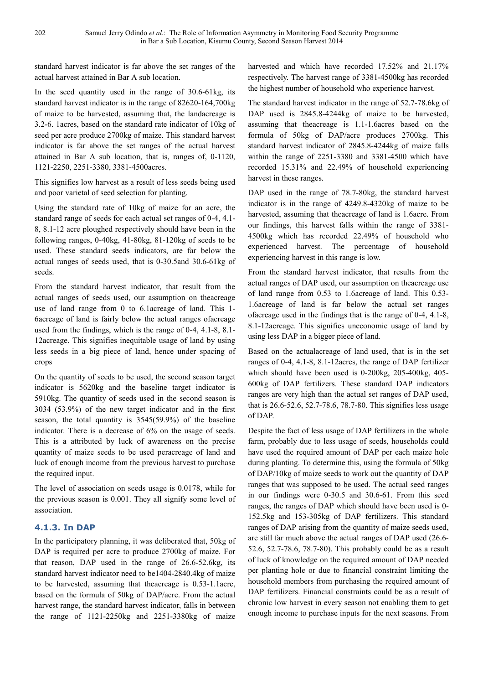standard harvest indicator is far above the set ranges of the actual harvest attained in Bar A sub location.

in Bar a Sub Location, Kisumu County, Second Season Harvest 2014

In the seed quantity used in the range of 30.6-61kg, its standard harvest indicator is in the range of 82620-164,700kg of maize to be harvested, assuming that, the landacreage is 3.2-6. 1acres, based on the standard rate indicator of 10kg of seed per acre produce 2700kg of maize. This standard harvest indicator is far above the set ranges of the actual harvest attained in Bar A sub location, that is, ranges of, 0-1120, 1121-2250, 2251-3380, 3381-4500acres.

This signifies low harvest as a result of less seeds being used and poor varietal of seed selection for planting.

Using the standard rate of 10kg of maize for an acre, the standard range of seeds for each actual set ranges of 0-4, 4.1- 8, 8.1-12 acre ploughed respectively should have been in the following ranges, 0-40kg, 41-80kg, 81-120kg of seeds to be used. These standard seeds indicators, are far below the actual ranges of seeds used, that is 0-30.5and 30.6-61kg of seeds.

From the standard harvest indicator, that result from the actual ranges of seeds used, our assumption on theacreage use of land range from 0 to 6.1acreage of land. This 1- 6acreage of land is fairly below the actual ranges ofacreage used from the findings, which is the range of 0-4, 4.1-8, 8.1- 12acreage. This signifies inequitable usage of land by using less seeds in a big piece of land, hence under spacing of crops

On the quantity of seeds to be used, the second season target indicator is 5620kg and the baseline target indicator is 5910kg. The quantity of seeds used in the second season is 3034 (53.9%) of the new target indicator and in the first season, the total quantity is 3545(59.9%) of the baseline indicator. There is a decrease of 6% on the usage of seeds. This is a attributed by luck of awareness on the precise quantity of maize seeds to be used peracreage of land and luck of enough income from the previous harvest to purchase the required input.

The level of association on seeds usage is 0.0178, while for the previous season is 0.001. They all signify some level of association.

# **4.1.3. In DAP**

In the participatory planning, it was deliberated that, 50kg of DAP is required per acre to produce 2700kg of maize. For that reason, DAP used in the range of 26.6-52.6kg, its standard harvest indicator need to be1404-2840.4kg of maize to be harvested, assuming that theacreage is 0.53-1.1acre, based on the formula of 50kg of DAP/acre. From the actual harvest range, the standard harvest indicator, falls in between the range of 1121-2250kg and 2251-3380kg of maize harvested and which have recorded 17.52% and 21.17% respectively. The harvest range of 3381-4500kg has recorded the highest number of household who experience harvest.

The standard harvest indicator in the range of 52.7-78.6kg of DAP used is 2845.8-4244kg of maize to be harvested, assuming that theacreage is 1.1-1.6acres based on the formula of 50kg of DAP/acre produces 2700kg. This standard harvest indicator of 2845.8-4244kg of maize falls within the range of 2251-3380 and 3381-4500 which have recorded 15.31% and 22.49% of household experiencing harvest in these ranges.

DAP used in the range of 78.7-80kg, the standard harvest indicator is in the range of 4249.8-4320kg of maize to be harvested, assuming that theacreage of land is 1.6acre. From our findings, this harvest falls within the range of 3381- 4500kg which has recorded 22.49% of household who experienced harvest. The percentage of household experiencing harvest in this range is low.

From the standard harvest indicator, that results from the actual ranges of DAP used, our assumption on theacreage use of land range from 0.53 to 1.6acreage of land. This 0.53- 1.6acreage of land is far below the actual set ranges ofacreage used in the findings that is the range of 0-4, 4.1-8, 8.1-12acreage. This signifies uneconomic usage of land by using less DAP in a bigger piece of land.

Based on the actualacreage of land used, that is in the set ranges of 0-4, 4.1-8, 8.1-12acres, the range of DAP fertilizer which should have been used is 0-200kg, 205-400kg, 405- 600kg of DAP fertilizers. These standard DAP indicators ranges are very high than the actual set ranges of DAP used, that is 26.6-52.6, 52.7-78.6, 78.7-80. This signifies less usage of DAP.

Despite the fact of less usage of DAP fertilizers in the whole farm, probably due to less usage of seeds, households could have used the required amount of DAP per each maize hole during planting. To determine this, using the formula of 50kg of DAP/10kg of maize seeds to work out the quantity of DAP ranges that was supposed to be used. The actual seed ranges in our findings were 0-30.5 and 30.6-61. From this seed ranges, the ranges of DAP which should have been used is 0- 152.5kg and 153-305kg of DAP fertilizers. This standard ranges of DAP arising from the quantity of maize seeds used, are still far much above the actual ranges of DAP used (26.6- 52.6, 52.7-78.6, 78.7-80). This probably could be as a result of luck of knowledge on the required amount of DAP needed per planting hole or due to financial constraint limiting the household members from purchasing the required amount of DAP fertilizers. Financial constraints could be as a result of chronic low harvest in every season not enabling them to get enough income to purchase inputs for the next seasons. From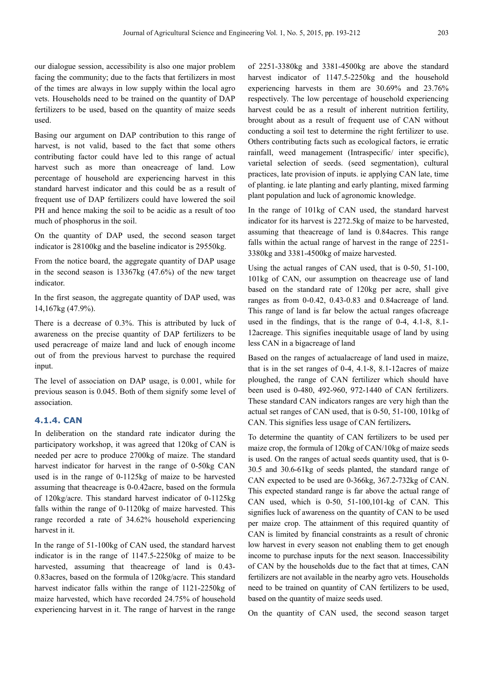our dialogue session, accessibility is also one major problem facing the community; due to the facts that fertilizers in most of the times are always in low supply within the local agro vets. Households need to be trained on the quantity of DAP fertilizers to be used, based on the quantity of maize seeds used.

Basing our argument on DAP contribution to this range of harvest, is not valid, based to the fact that some others contributing factor could have led to this range of actual harvest such as more than oneacreage of land. Low percentage of household are experiencing harvest in this standard harvest indicator and this could be as a result of frequent use of DAP fertilizers could have lowered the soil PH and hence making the soil to be acidic as a result of too much of phosphorus in the soil.

On the quantity of DAP used, the second season target indicator is 28100kg and the baseline indicator is 29550kg.

From the notice board, the aggregate quantity of DAP usage in the second season is 13367kg (47.6%) of the new target indicator.

In the first season, the aggregate quantity of DAP used, was 14,167kg (47.9%).

There is a decrease of 0.3%. This is attributed by luck of awareness on the precise quantity of DAP fertilizers to be used peracreage of maize land and luck of enough income out of from the previous harvest to purchase the required input.

The level of association on DAP usage, is 0.001, while for previous season is 0.045. Both of them signify some level of association.

#### **4.1.4. CAN**

In deliberation on the standard rate indicator during the participatory workshop, it was agreed that 120kg of CAN is needed per acre to produce 2700kg of maize. The standard harvest indicator for harvest in the range of 0-50kg CAN used is in the range of 0-1125kg of maize to be harvested assuming that theacreage is 0-0.42acre, based on the formula of 120kg/acre. This standard harvest indicator of 0-1125kg falls within the range of 0-1120kg of maize harvested. This range recorded a rate of 34.62% household experiencing harvest in it.

In the range of 51-100kg of CAN used, the standard harvest indicator is in the range of 1147.5-2250kg of maize to be harvested, assuming that theacreage of land is 0.43- 0.83acres, based on the formula of 120kg/acre. This standard harvest indicator falls within the range of 1121-2250kg of maize harvested, which have recorded 24.75% of household experiencing harvest in it. The range of harvest in the range

of 2251-3380kg and 3381-4500kg are above the standard harvest indicator of 1147.5-2250kg and the household experiencing harvests in them are 30.69% and 23.76% respectively. The low percentage of household experiencing harvest could be as a result of inherent nutrition fertility, brought about as a result of frequent use of CAN without conducting a soil test to determine the right fertilizer to use. Others contributing facts such as ecological factors, ie erratic rainfall, weed management (Intraspecific/ inter specific), varietal selection of seeds. (seed segmentation), cultural practices, late provision of inputs. ie applying CAN late, time of planting. ie late planting and early planting, mixed farming plant population and luck of agronomic knowledge.

In the range of 101kg of CAN used, the standard harvest indicator for its harvest is 2272.5kg of maize to be harvested, assuming that theacreage of land is 0.84acres. This range falls within the actual range of harvest in the range of 2251- 3380kg and 3381-4500kg of maize harvested.

Using the actual ranges of CAN used, that is 0-50, 51-100, 101kg of CAN, our assumption on theacreage use of land based on the standard rate of 120kg per acre, shall give ranges as from 0-0.42, 0.43-0.83 and 0.84acreage of land. This range of land is far below the actual ranges ofacreage used in the findings, that is the range of 0-4, 4.1-8, 8.1- 12acreage. This signifies inequitable usage of land by using less CAN in a bigacreage of land

Based on the ranges of actualacreage of land used in maize, that is in the set ranges of 0-4, 4.1-8, 8.1-12acres of maize ploughed, the range of CAN fertilizer which should have been used is 0-480, 492-960, 972-1440 of CAN fertilizers. These standard CAN indicators ranges are very high than the actual set ranges of CAN used, that is 0-50, 51-100, 101kg of CAN. This signifies less usage of CAN fertilizers**.** 

To determine the quantity of CAN fertilizers to be used per maize crop, the formula of 120kg of CAN/10kg of maize seeds is used. On the ranges of actual seeds quantity used, that is 0- 30.5 and 30.6-61kg of seeds planted, the standard range of CAN expected to be used are 0-366kg, 367.2-732kg of CAN. This expected standard range is far above the actual range of CAN used, which is 0-50, 51-100,101-kg of CAN. This signifies luck of awareness on the quantity of CAN to be used per maize crop. The attainment of this required quantity of CAN is limited by financial constraints as a result of chronic low harvest in every season not enabling them to get enough income to purchase inputs for the next season. Inaccessibility of CAN by the households due to the fact that at times, CAN fertilizers are not available in the nearby agro vets. Households need to be trained on quantity of CAN fertilizers to be used, based on the quantity of maize seeds used.

On the quantity of CAN used, the second season target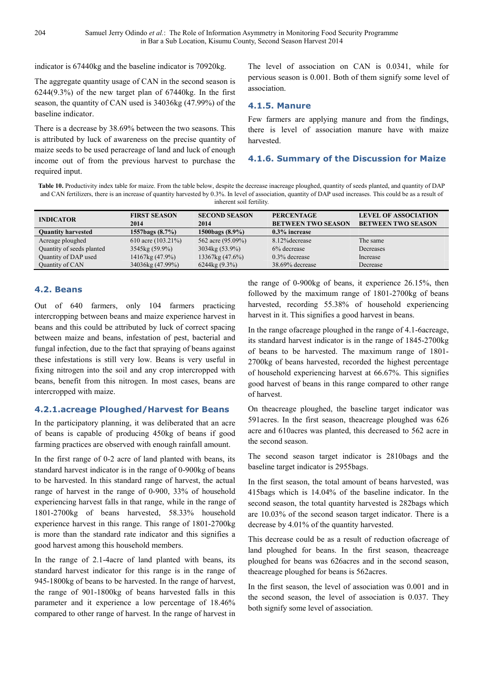indicator is 67440kg and the baseline indicator is 70920kg.

The aggregate quantity usage of CAN in the second season is 6244(9.3%) of the new target plan of 67440kg. In the first season, the quantity of CAN used is 34036kg (47.99%) of the baseline indicator.

There is a decrease by 38.69% between the two seasons. This is attributed by luck of awareness on the precise quantity of maize seeds to be used peracreage of land and luck of enough income out of from the previous harvest to purchase the required input.

The level of association on CAN is 0.0341, while for pervious season is 0.001. Both of them signify some level of association.

### **4.1.5. Manure**

Few farmers are applying manure and from the findings, there is level of association manure have with maize harvested.

# **4.1.6. Summary of the Discussion for Maize**

**Table 10.** Productivity index table for maize. From the table below, despite the decrease inacreage ploughed, quantity of seeds planted, and quantity of DAP and CAN fertilizers, there is an increase of quantity harvested by 0.3%. In level of association, quantity of DAP used increases. This could be as a result of inherent soil fertility.

| <b>INDICATOR</b>          | <b>FIRST SEASON</b><br>2014 | <b>SECOND SEASON</b><br>2014 | <b>PERCENTAGE</b><br><b>BETWEEN TWO SEASON</b> | <b>LEVEL OF ASSOCIATION</b><br><b>BETWEEN TWO SEASON</b> |
|---------------------------|-----------------------------|------------------------------|------------------------------------------------|----------------------------------------------------------|
| <b>Quantity harvested</b> | 1557bags $(8.7\%)$          | 1500bags (8.9%)              | $0.3\%$ increase                               |                                                          |
| Acreage ploughed          | 610 acre $(103.21\%)$       | 562 acre (95.09%)            | 8.12% decrease                                 | The same                                                 |
| Quantity of seeds planted | 3545kg (59.9%)              | 3034kg (53.9%)               | 6% decrease                                    | Decreases                                                |
| Quantity of DAP used      | 14167kg (47.9%)             | 13367kg (47.6%)              | $0.3\%$ decrease                               | Increase                                                 |
| Quantity of CAN           | 34036kg (47.99%)            | $6244\text{kg}$ (9.3%)       | 38.69% decrease                                | Decrease                                                 |

# **4.2. Beans**

Out of 640 farmers, only 104 farmers practicing intercropping between beans and maize experience harvest in beans and this could be attributed by luck of correct spacing between maize and beans, infestation of pest, bacterial and fungal infection, due to the fact that spraying of beans against these infestations is still very low. Beans is very useful in fixing nitrogen into the soil and any crop intercropped with beans, benefit from this nitrogen. In most cases, beans are intercropped with maize.

#### **4.2.1.acreage Ploughed/Harvest for Beans**

In the participatory planning, it was deliberated that an acre of beans is capable of producing 450kg of beans if good farming practices are observed with enough rainfall amount.

In the first range of 0-2 acre of land planted with beans, its standard harvest indicator is in the range of 0-900kg of beans to be harvested. In this standard range of harvest, the actual range of harvest in the range of 0-900, 33% of household experiencing harvest falls in that range, while in the range of 1801-2700kg of beans harvested, 58.33% household experience harvest in this range. This range of 1801-2700kg is more than the standard rate indicator and this signifies a good harvest among this household members.

In the range of 2.1-4acre of land planted with beans, its standard harvest indicator for this range is in the range of 945-1800kg of beans to be harvested. In the range of harvest, the range of 901-1800kg of beans harvested falls in this parameter and it experience a low percentage of 18.46% compared to other range of harvest. In the range of harvest in the range of 0-900kg of beans, it experience 26.15%, then followed by the maximum range of 1801-2700kg of beans harvested, recording 55.38% of household experiencing harvest in it. This signifies a good harvest in beans.

In the range ofacreage ploughed in the range of 4.1-6acreage, its standard harvest indicator is in the range of 1845-2700kg of beans to be harvested. The maximum range of 1801- 2700kg of beans harvested, recorded the highest percentage of household experiencing harvest at 66.67%. This signifies good harvest of beans in this range compared to other range of harvest.

On theacreage ploughed, the baseline target indicator was 591acres. In the first season, theacreage ploughed was 626 acre and 610acres was planted, this decreased to 562 acre in the second season.

The second season target indicator is 2810bags and the baseline target indicator is 2955bags.

In the first season, the total amount of beans harvested, was 415bags which is 14.04% of the baseline indicator. In the second season, the total quantity harvested is 282bags which are 10.03% of the second season target indicator. There is a decrease by 4.01% of the quantity harvested.

This decrease could be as a result of reduction ofacreage of land ploughed for beans. In the first season, theacreage ploughed for beans was 626acres and in the second season, theacreage ploughed for beans is 562acres.

In the first season, the level of association was 0.001 and in the second season, the level of association is 0.037. They both signify some level of association.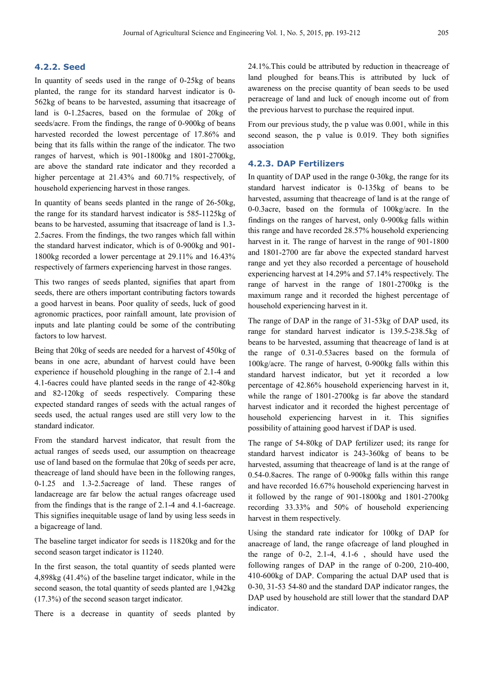### **4.2.2. Seed**

In quantity of seeds used in the range of 0-25kg of beans planted, the range for its standard harvest indicator is 0- 562kg of beans to be harvested, assuming that itsacreage of land is 0-1.25acres, based on the formulae of 20kg of seeds/acre. From the findings, the range of 0-900kg of beans harvested recorded the lowest percentage of 17.86% and being that its falls within the range of the indicator. The two ranges of harvest, which is 901-1800kg and 1801-2700kg, are above the standard rate indicator and they recorded a higher percentage at 21.43% and 60.71% respectively, of household experiencing harvest in those ranges.

In quantity of beans seeds planted in the range of 26-50kg, the range for its standard harvest indicator is 585-1125kg of beans to be harvested, assuming that itsacreage of land is 1.3- 2.5acres. From the findings, the two ranges which fall within the standard harvest indicator, which is of 0-900kg and 901- 1800kg recorded a lower percentage at 29.11% and 16.43% respectively of farmers experiencing harvest in those ranges.

This two ranges of seeds planted, signifies that apart from seeds, there are others important contributing factors towards a good harvest in beans. Poor quality of seeds, luck of good agronomic practices, poor rainfall amount, late provision of inputs and late planting could be some of the contributing factors to low harvest.

Being that 20kg of seeds are needed for a harvest of 450kg of beans in one acre, abundant of harvest could have been experience if household ploughing in the range of 2.1-4 and 4.1-6acres could have planted seeds in the range of 42-80kg and 82-120kg of seeds respectively. Comparing these expected standard ranges of seeds with the actual ranges of seeds used, the actual ranges used are still very low to the standard indicator.

From the standard harvest indicator, that result from the actual ranges of seeds used, our assumption on theacreage use of land based on the formulae that 20kg of seeds per acre, theacreage of land should have been in the following ranges, 0-1.25 and 1.3-2.5acreage of land. These ranges of landacreage are far below the actual ranges ofacreage used from the findings that is the range of 2.1-4 and 4.1-6acreage. This signifies inequitable usage of land by using less seeds in a bigacreage of land.

The baseline target indicator for seeds is 11820kg and for the second season target indicator is 11240.

In the first season, the total quantity of seeds planted were 4,898kg (41.4%) of the baseline target indicator, while in the second season, the total quantity of seeds planted are 1,942kg (17.3%) of the second season target indicator.

There is a decrease in quantity of seeds planted by

24.1%.This could be attributed by reduction in theacreage of land ploughed for beans.This is attributed by luck of awareness on the precise quantity of bean seeds to be used peracreage of land and luck of enough income out of from the previous harvest to purchase the required input.

From our previous study, the p value was 0.001, while in this second season, the p value is 0.019. They both signifies association

#### **4.2.3. DAP Fertilizers**

In quantity of DAP used in the range 0-30kg, the range for its standard harvest indicator is 0-135kg of beans to be harvested, assuming that theacreage of land is at the range of 0-0.3acre, based on the formula of 100kg/acre. In the findings on the ranges of harvest, only 0-900kg falls within this range and have recorded 28.57% household experiencing harvest in it. The range of harvest in the range of 901-1800 and 1801-2700 are far above the expected standard harvest range and yet they also recorded a percentage of household experiencing harvest at 14.29% and 57.14% respectively. The range of harvest in the range of 1801-2700kg is the maximum range and it recorded the highest percentage of household experiencing harvest in it.

The range of DAP in the range of 31-53kg of DAP used, its range for standard harvest indicator is 139.5-238.5kg of beans to be harvested, assuming that theacreage of land is at the range of 0.31-0.53acres based on the formula of 100kg/acre. The range of harvest, 0-900kg falls within this standard harvest indicator, but yet it recorded a low percentage of 42.86% household experiencing harvest in it, while the range of 1801-2700kg is far above the standard harvest indicator and it recorded the highest percentage of household experiencing harvest in it. This signifies possibility of attaining good harvest if DAP is used.

The range of 54-80kg of DAP fertilizer used; its range for standard harvest indicator is 243-360kg of beans to be harvested, assuming that theacreage of land is at the range of 0.54-0.8acres. The range of 0-900kg falls within this range and have recorded 16.67% household experiencing harvest in it followed by the range of 901-1800kg and 1801-2700kg recording 33.33% and 50% of household experiencing harvest in them respectively.

Using the standard rate indicator for 100kg of DAP for anacreage of land, the range ofacreage of land ploughed in the range of 0-2, 2.1-4, 4.1-6 , should have used the following ranges of DAP in the range of 0-200, 210-400, 410-600kg of DAP. Comparing the actual DAP used that is 0-30, 31-53 54-80 and the standard DAP indicator ranges, the DAP used by household are still lower that the standard DAP indicator.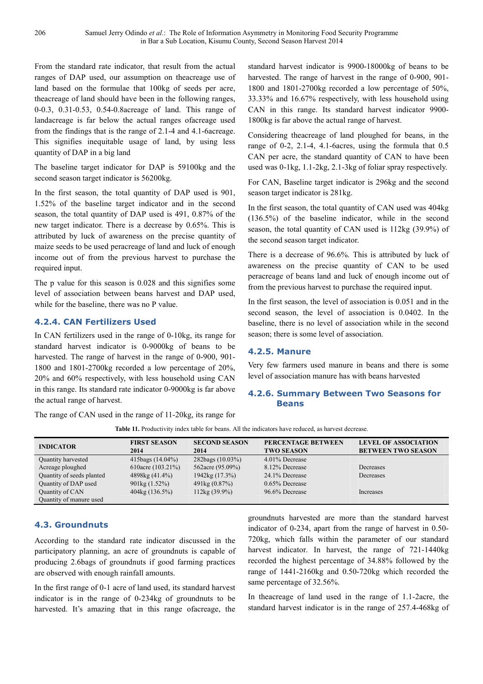From the standard rate indicator, that result from the actual ranges of DAP used, our assumption on theacreage use of land based on the formulae that 100kg of seeds per acre, theacreage of land should have been in the following ranges, 0-0.3, 0.31-0.53, 0.54-0.8acreage of land. This range of landacreage is far below the actual ranges ofacreage used from the findings that is the range of 2.1-4 and 4.1-6acreage. This signifies inequitable usage of land, by using less quantity of DAP in a big land

The baseline target indicator for DAP is 59100kg and the second season target indicator is 56200kg.

In the first season, the total quantity of DAP used is 901, 1.52% of the baseline target indicator and in the second season, the total quantity of DAP used is 491, 0.87% of the new target indicator. There is a decrease by 0.65%. This is attributed by luck of awareness on the precise quantity of maize seeds to be used peracreage of land and luck of enough income out of from the previous harvest to purchase the required input.

The p value for this season is 0.028 and this signifies some level of association between beans harvest and DAP used, while for the baseline, there was no P value.

# **4.2.4. CAN Fertilizers Used**

In CAN fertilizers used in the range of 0-10kg, its range for standard harvest indicator is 0-9000kg of beans to be harvested. The range of harvest in the range of 0-900, 901- 1800 and 1801-2700kg recorded a low percentage of 20%, 20% and 60% respectively, with less household using CAN in this range. Its standard rate indicator 0-9000kg is far above the actual range of harvest.

The range of CAN used in the range of 11-20kg, its range for

standard harvest indicator is 9900-18000kg of beans to be harvested. The range of harvest in the range of 0-900, 901- 1800 and 1801-2700kg recorded a low percentage of 50%, 33.33% and 16.67% respectively, with less household using CAN in this range. Its standard harvest indicator 9900- 1800kg is far above the actual range of harvest.

Considering theacreage of land ploughed for beans, in the range of 0-2, 2.1-4, 4.1-6acres, using the formula that 0.5 CAN per acre, the standard quantity of CAN to have been used was 0-1kg, 1.1-2kg, 2.1-3kg of foliar spray respectively.

For CAN, Baseline target indicator is 296kg and the second season target indicator is 281kg.

In the first season, the total quantity of CAN used was 404kg (136.5%) of the baseline indicator, while in the second season, the total quantity of CAN used is 112kg (39.9%) of the second season target indicator.

There is a decrease of 96.6%. This is attributed by luck of awareness on the precise quantity of CAN to be used peracreage of beans land and luck of enough income out of from the previous harvest to purchase the required input.

In the first season, the level of association is 0.051 and in the second season, the level of association is 0.0402. In the baseline, there is no level of association while in the second season; there is some level of association.

#### **4.2.5. Manure**

Very few farmers used manure in beans and there is some level of association manure has with beans harvested

# **4.2.6. Summary Between Two Seasons for Beans**

**INDICATOR FIRST SEASON 2014**<br>415bags (14.04%) **SECOND SEASON**  2014<br>282bags (10.03%) **PERCENTAGE BETWEEN TWO SEASON LEVEL OF ASSOCIATION BETWEEN TWO SEASON**  Quantity harvested 415bags (14.04%) 282bags (10.03%) 4.01% Decrease Acreage ploughed 610acre (103.21%) 562acre (95.09%) 8.12% Decrease Decreases Quantity of seeds planted 4898kg (41.4%) 1942kg (17.3%) 24.1% Decrease Decreases Quantity of DAP used  $901\text{kg} (1.52\%)$   $491\text{kg} (0.87\%)$   $0.65\%$  Decrease Quantity of CAN 404kg (136.5%) 112kg (39.9%) 96.6% Decrease Increases Quantity of manure used

**Table 11.** Productivity index table for beans. All the indicators have reduced, as harvest decrease.

# **4.3. Groundnuts**

According to the standard rate indicator discussed in the participatory planning, an acre of groundnuts is capable of producing 2.6bags of groundnuts if good farming practices are observed with enough rainfall amounts.

In the first range of 0-1 acre of land used, its standard harvest indicator is in the range of 0-234kg of groundnuts to be harvested. It's amazing that in this range ofacreage, the groundnuts harvested are more than the standard harvest indicator of 0-234, apart from the range of harvest in 0.50- 720kg, which falls within the parameter of our standard harvest indicator. In harvest, the range of 721-1440kg recorded the highest percentage of 34.88% followed by the range of 1441-2160kg and 0.50-720kg which recorded the same percentage of 32.56%.

In theacreage of land used in the range of 1.1-2acre, the standard harvest indicator is in the range of 257.4-468kg of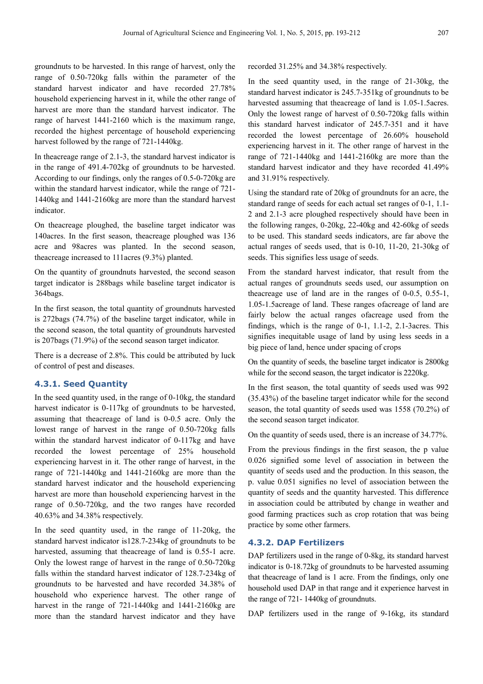groundnuts to be harvested. In this range of harvest, only the range of 0.50-720kg falls within the parameter of the standard harvest indicator and have recorded 27.78% household experiencing harvest in it, while the other range of harvest are more than the standard harvest indicator. The range of harvest 1441-2160 which is the maximum range, recorded the highest percentage of household experiencing harvest followed by the range of 721-1440kg.

In theacreage range of 2.1-3, the standard harvest indicator is in the range of 491.4-702kg of groundnuts to be harvested. According to our findings, only the ranges of 0.5-0-720kg are within the standard harvest indicator, while the range of 721- 1440kg and 1441-2160kg are more than the standard harvest indicator.

On theacreage ploughed, the baseline target indicator was 140acres. In the first season, theacreage ploughed was 136 acre and 98acres was planted. In the second season, theacreage increased to 111acres (9.3%) planted.

On the quantity of groundnuts harvested, the second season target indicator is 288bags while baseline target indicator is 364bags.

In the first season, the total quantity of groundnuts harvested is 272bags (74.7%) of the baseline target indicator, while in the second season, the total quantity of groundnuts harvested is 207bags (71.9%) of the second season target indicator.

There is a decrease of 2.8%. This could be attributed by luck of control of pest and diseases.

#### **4.3.1. Seed Quantity**

In the seed quantity used, in the range of 0-10kg, the standard harvest indicator is 0-117kg of groundnuts to be harvested, assuming that theacreage of land is 0-0.5 acre. Only the lowest range of harvest in the range of 0.50-720kg falls within the standard harvest indicator of 0-117kg and have recorded the lowest percentage of 25% household experiencing harvest in it. The other range of harvest, in the range of 721-1440kg and 1441-2160kg are more than the standard harvest indicator and the household experiencing harvest are more than household experiencing harvest in the range of 0.50-720kg, and the two ranges have recorded 40.63% and 34.38% respectively.

In the seed quantity used, in the range of 11-20kg, the standard harvest indicator is128.7-234kg of groundnuts to be harvested, assuming that theacreage of land is 0.55-1 acre. Only the lowest range of harvest in the range of 0.50-720kg falls within the standard harvest indicator of 128.7-234kg of groundnuts to be harvested and have recorded 34.38% of household who experience harvest. The other range of harvest in the range of 721-1440kg and 1441-2160kg are more than the standard harvest indicator and they have recorded 31.25% and 34.38% respectively.

In the seed quantity used, in the range of 21-30kg, the standard harvest indicator is 245.7-351kg of groundnuts to be harvested assuming that theacreage of land is 1.05-1.5acres. Only the lowest range of harvest of 0.50-720kg falls within this standard harvest indicator of 245.7-351 and it have recorded the lowest percentage of 26.60% household experiencing harvest in it. The other range of harvest in the range of 721-1440kg and 1441-2160kg are more than the standard harvest indicator and they have recorded 41.49% and 31.91% respectively.

Using the standard rate of 20kg of groundnuts for an acre, the standard range of seeds for each actual set ranges of 0-1, 1.1- 2 and 2.1-3 acre ploughed respectively should have been in the following ranges, 0-20kg, 22-40kg and 42-60kg of seeds to be used. This standard seeds indicators, are far above the actual ranges of seeds used, that is 0-10, 11-20, 21-30kg of seeds. This signifies less usage of seeds.

From the standard harvest indicator, that result from the actual ranges of groundnuts seeds used, our assumption on theacreage use of land are in the ranges of 0-0.5, 0.55-1, 1.05-1.5acreage of land. These ranges ofacreage of land are fairly below the actual ranges ofacreage used from the findings, which is the range of 0-1, 1.1-2, 2.1-3acres. This signifies inequitable usage of land by using less seeds in a big piece of land, hence under spacing of crops

On the quantity of seeds, the baseline target indicator is 2800kg while for the second season, the target indicator is 2220kg.

In the first season, the total quantity of seeds used was 992 (35.43%) of the baseline target indicator while for the second season, the total quantity of seeds used was 1558 (70.2%) of the second season target indicator.

On the quantity of seeds used, there is an increase of 34.77%.

From the previous findings in the first season, the p value 0.026 signified some level of association in between the quantity of seeds used and the production. In this season, the p. value 0.051 signifies no level of association between the quantity of seeds and the quantity harvested. This difference in association could be attributed by change in weather and good farming practices such as crop rotation that was being practice by some other farmers.

#### **4.3.2. DAP Fertilizers**

DAP fertilizers used in the range of 0-8kg, its standard harvest indicator is 0-18.72kg of groundnuts to be harvested assuming that theacreage of land is 1 acre. From the findings, only one household used DAP in that range and it experience harvest in the range of 721- 1440kg of groundnuts.

DAP fertilizers used in the range of 9-16kg, its standard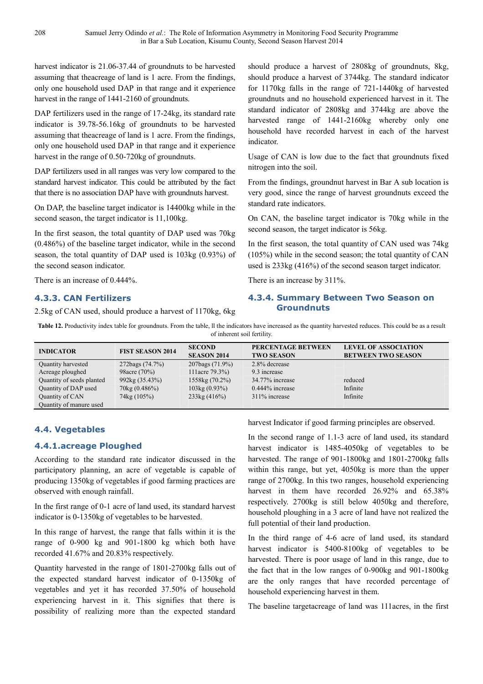harvest indicator is 21.06-37.44 of groundnuts to be harvested assuming that theacreage of land is 1 acre. From the findings, only one household used DAP in that range and it experience harvest in the range of 1441-2160 of groundnuts.

DAP fertilizers used in the range of 17-24kg, its standard rate indicator is 39.78-56.16kg of groundnuts to be harvested assuming that theacreage of land is 1 acre. From the findings, only one household used DAP in that range and it experience harvest in the range of 0.50-720kg of groundnuts.

DAP fertilizers used in all ranges was very low compared to the standard harvest indicator. This could be attributed by the fact that there is no association DAP have with groundnuts harvest.

On DAP, the baseline target indicator is 14400kg while in the second season, the target indicator is 11,100kg.

In the first season, the total quantity of DAP used was 70kg (0.486%) of the baseline target indicator, while in the second season, the total quantity of DAP used is 103kg (0.93%) of the second season indicator.

There is an increase of 0.444%.

# **4.3.3. CAN Fertilizers**

2.5kg of CAN used, should produce a harvest of 1170kg, 6kg

should produce a harvest of 2808kg of groundnuts, 8kg, should produce a harvest of 3744kg. The standard indicator for 1170kg falls in the range of 721-1440kg of harvested groundnuts and no household experienced harvest in it. The standard indicator of 2808kg and 3744kg are above the harvested range of 1441-2160kg whereby only one household have recorded harvest in each of the harvest indicator.

Usage of CAN is low due to the fact that groundnuts fixed nitrogen into the soil.

From the findings, groundnut harvest in Bar A sub location is very good, since the range of harvest groundnuts exceed the standard rate indicators.

On CAN, the baseline target indicator is 70kg while in the second season, the target indicator is 56kg.

In the first season, the total quantity of CAN used was 74kg (105%) while in the second season; the total quantity of CAN used is 233kg (416%) of the second season target indicator.

There is an increase by 311%.

# **4.3.4. Summary Between Two Season on Groundnuts**

Table 12. Productivity index table for groundnuts. From the table, II the indicators have increased as the quantity harvested reduces. This could be as a result of inherent soil fertility.

| <b>INDICATOR</b>          | <b>FIST SEASON 2014</b> | <b>SECOND</b><br><b>SEASON 2014</b> | PERCENTAGE BETWEEN<br><b>TWO SEASON</b> | <b>LEVEL OF ASSOCIATION</b><br><b>BETWEEN TWO SEASON</b> |
|---------------------------|-------------------------|-------------------------------------|-----------------------------------------|----------------------------------------------------------|
| Quantity harvested        | 272bags (74.7%)         | $207$ bags $(71.9\%)$               | 2.8% decrease                           |                                                          |
| Acreage ploughed          | 98 acre (70%)           | 111acre 79.3%)                      | 9.3 increase                            |                                                          |
| Quantity of seeds planted | 992kg (35.43%)          | 1558kg (70.2%)                      | 34.77% increase                         | reduced                                                  |
| Quantity of DAP used      | $70\text{kg}$ (0.486%)  | $103\text{kg}$ (0.93%)              | $0.444\%$ increase                      | Infinite                                                 |
| Quantity of CAN           | 74kg (105%)             | $233\text{kg}$ (416%)               | 311% increase                           | Infinite                                                 |
| Quantity of manure used   |                         |                                     |                                         |                                                          |

# **4.4. Vegetables**

# **4.4.1.acreage Ploughed**

According to the standard rate indicator discussed in the participatory planning, an acre of vegetable is capable of producing 1350kg of vegetables if good farming practices are observed with enough rainfall.

In the first range of 0-1 acre of land used, its standard harvest indicator is 0-1350kg of vegetables to be harvested.

In this range of harvest, the range that falls within it is the range of 0-900 kg and 901-1800 kg which both have recorded 41.67% and 20.83% respectively.

Quantity harvested in the range of 1801-2700kg falls out of the expected standard harvest indicator of 0-1350kg of vegetables and yet it has recorded 37.50% of household experiencing harvest in it. This signifies that there is possibility of realizing more than the expected standard harvest Indicator if good farming principles are observed.

In the second range of 1.1-3 acre of land used, its standard harvest indicator is 1485-4050kg of vegetables to be harvested. The range of 901-1800kg and 1801-2700kg falls within this range, but yet, 4050kg is more than the upper range of 2700kg. In this two ranges, household experiencing harvest in them have recorded 26.92% and 65.38% respectively. 2700kg is still below 4050kg and therefore, household ploughing in a 3 acre of land have not realized the full potential of their land production.

In the third range of 4-6 acre of land used, its standard harvest indicator is 5400-8100kg of vegetables to be harvested. There is poor usage of land in this range, due to the fact that in the low ranges of 0-900kg and 901-1800kg are the only ranges that have recorded percentage of household experiencing harvest in them.

The baseline targetacreage of land was 111acres, in the first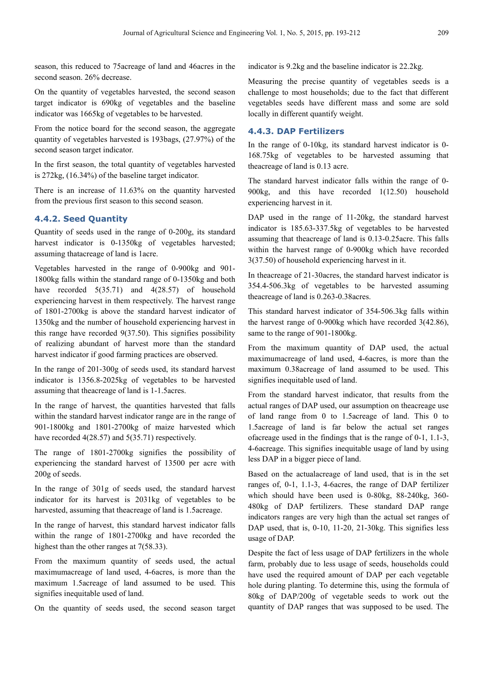season, this reduced to 75acreage of land and 46acres in the second season. 26% decrease.

On the quantity of vegetables harvested, the second season target indicator is 690kg of vegetables and the baseline indicator was 1665kg of vegetables to be harvested.

From the notice board for the second season, the aggregate quantity of vegetables harvested is 193bags, (27.97%) of the second season target indicator.

In the first season, the total quantity of vegetables harvested is 272kg, (16.34%) of the baseline target indicator.

There is an increase of 11.63% on the quantity harvested from the previous first season to this second season.

### **4.4.2. Seed Quantity**

Quantity of seeds used in the range of 0-200g, its standard harvest indicator is 0-1350kg of vegetables harvested; assuming thatacreage of land is 1acre.

Vegetables harvested in the range of 0-900kg and 901- 1800kg falls within the standard range of 0-1350kg and both have recorded  $5(35.71)$  and  $4(28.57)$  of household experiencing harvest in them respectively. The harvest range of 1801-2700kg is above the standard harvest indicator of 1350kg and the number of household experiencing harvest in this range have recorded 9(37.50). This signifies possibility of realizing abundant of harvest more than the standard harvest indicator if good farming practices are observed.

In the range of 201-300g of seeds used, its standard harvest indicator is 1356.8-2025kg of vegetables to be harvested assuming that theacreage of land is 1-1.5acres.

In the range of harvest, the quantities harvested that falls within the standard harvest indicator range are in the range of 901-1800kg and 1801-2700kg of maize harvested which have recorded 4(28.57) and 5(35.71) respectively.

The range of 1801-2700kg signifies the possibility of experiencing the standard harvest of 13500 per acre with 200g of seeds.

In the range of 301g of seeds used, the standard harvest indicator for its harvest is 2031kg of vegetables to be harvested, assuming that theacreage of land is 1.5acreage.

In the range of harvest, this standard harvest indicator falls within the range of 1801-2700kg and have recorded the highest than the other ranges at 7(58.33).

From the maximum quantity of seeds used, the actual maximumacreage of land used, 4-6acres, is more than the maximum 1.5acreage of land assumed to be used. This signifies inequitable used of land.

On the quantity of seeds used, the second season target

indicator is 9.2kg and the baseline indicator is 22.2kg.

Measuring the precise quantity of vegetables seeds is a challenge to most households; due to the fact that different vegetables seeds have different mass and some are sold locally in different quantify weight.

#### **4.4.3. DAP Fertilizers**

In the range of 0-10kg, its standard harvest indicator is 0- 168.75kg of vegetables to be harvested assuming that theacreage of land is 0.13 acre.

The standard harvest indicator falls within the range of 0- 900kg, and this have recorded 1(12.50) household experiencing harvest in it.

DAP used in the range of 11-20kg, the standard harvest indicator is 185.63-337.5kg of vegetables to be harvested assuming that theacreage of land is 0.13-0.25acre. This falls within the harvest range of 0-900kg which have recorded 3(37.50) of household experiencing harvest in it.

In theacreage of 21-30acres, the standard harvest indicator is 354.4-506.3kg of vegetables to be harvested assuming theacreage of land is 0.263-0.38acres.

This standard harvest indicator of 354-506.3kg falls within the harvest range of 0-900kg which have recorded 3(42.86), same to the range of 901-1800kg.

From the maximum quantity of DAP used, the actual maximumacreage of land used, 4-6acres, is more than the maximum 0.38acreage of land assumed to be used. This signifies inequitable used of land.

From the standard harvest indicator, that results from the actual ranges of DAP used, our assumption on theacreage use of land range from 0 to 1.5acreage of land. This 0 to 1.5acreage of land is far below the actual set ranges ofacreage used in the findings that is the range of 0-1, 1.1-3, 4-6acreage. This signifies inequitable usage of land by using less DAP in a bigger piece of land.

Based on the actualacreage of land used, that is in the set ranges of, 0-1, 1.1-3, 4-6acres, the range of DAP fertilizer which should have been used is 0-80kg, 88-240kg, 360- 480kg of DAP fertilizers. These standard DAP range indicators ranges are very high than the actual set ranges of DAP used, that is, 0-10, 11-20, 21-30kg. This signifies less usage of DAP.

Despite the fact of less usage of DAP fertilizers in the whole farm, probably due to less usage of seeds, households could have used the required amount of DAP per each vegetable hole during planting. To determine this, using the formula of 80kg of DAP/200g of vegetable seeds to work out the quantity of DAP ranges that was supposed to be used. The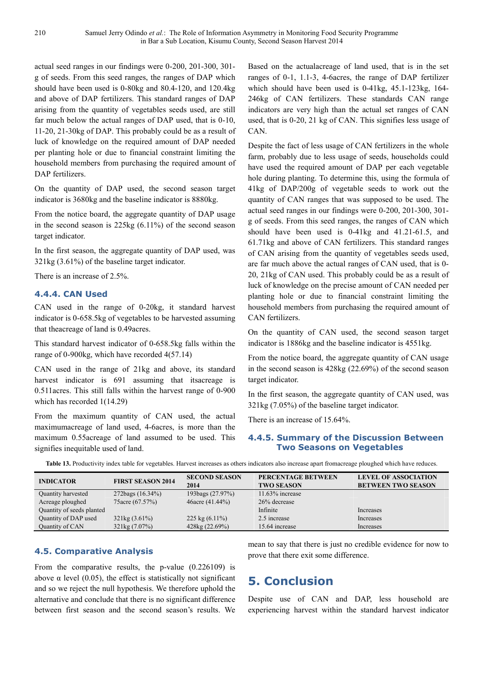actual seed ranges in our findings were 0-200, 201-300, 301 g of seeds. From this seed ranges, the ranges of DAP which should have been used is 0-80kg and 80.4-120, and 120.4kg and above of DAP fertilizers. This standard ranges of DAP arising from the quantity of vegetables seeds used, are still far much below the actual ranges of DAP used, that is 0-10, 11-20, 21-30kg of DAP. This probably could be as a result of luck of knowledge on the required amount of DAP needed per planting hole or due to financial constraint limiting the household members from purchasing the required amount of DAP fertilizers.

On the quantity of DAP used, the second season target indicator is 3680kg and the baseline indicator is 8880kg.

From the notice board, the aggregate quantity of DAP usage in the second season is 225kg (6.11%) of the second season target indicator.

In the first season, the aggregate quantity of DAP used, was 321kg (3.61%) of the baseline target indicator.

There is an increase of 2.5%.

#### **4.4.4. CAN Used**

CAN used in the range of 0-20kg, it standard harvest indicator is 0-658.5kg of vegetables to be harvested assuming that theacreage of land is 0.49acres.

This standard harvest indicator of 0-658.5kg falls within the range of 0-900kg, which have recorded 4(57.14)

CAN used in the range of 21kg and above, its standard harvest indicator is 691 assuming that its acreage is 0.511acres. This still falls within the harvest range of 0-900 which has recorded 1(14.29)

From the maximum quantity of CAN used, the actual maximumacreage of land used, 4-6acres, is more than the maximum 0.55acreage of land assumed to be used. This signifies inequitable used of land.

Based on the actualacreage of land used, that is in the set ranges of 0-1, 1.1-3, 4-6acres, the range of DAP fertilizer which should have been used is 0-41kg, 45.1-123kg, 164- 246kg of CAN fertilizers. These standards CAN range indicators are very high than the actual set ranges of CAN used, that is 0-20, 21 kg of CAN. This signifies less usage of CAN.

Despite the fact of less usage of CAN fertilizers in the whole farm, probably due to less usage of seeds, households could have used the required amount of DAP per each vegetable hole during planting. To determine this, using the formula of 41kg of DAP/200g of vegetable seeds to work out the quantity of CAN ranges that was supposed to be used. The actual seed ranges in our findings were 0-200, 201-300, 301 g of seeds. From this seed ranges, the ranges of CAN which should have been used is 0-41kg and 41.21-61.5, and 61.71kg and above of CAN fertilizers. This standard ranges of CAN arising from the quantity of vegetables seeds used, are far much above the actual ranges of CAN used, that is 0- 20, 21kg of CAN used. This probably could be as a result of luck of knowledge on the precise amount of CAN needed per planting hole or due to financial constraint limiting the household members from purchasing the required amount of CAN fertilizers.

On the quantity of CAN used, the second season target indicator is 1886kg and the baseline indicator is 4551kg.

From the notice board, the aggregate quantity of CAN usage in the second season is 428kg (22.69%) of the second season target indicator.

In the first season, the aggregate quantity of CAN used, was 321kg (7.05%) of the baseline target indicator.

There is an increase of 15.64%.

#### **4.4.5. Summary of the Discussion Between Two Seasons on Vegetables**

| <b>INDICATOR</b>          | <b>FIRST SEASON 2014</b> | <b>SECOND SEASON</b><br>2014 | PERCENTAGE BETWEEN<br><b>TWO SEASON</b> | <b>LEVEL OF ASSOCIATION</b><br><b>BETWEEN TWO SEASON</b> |
|---------------------------|--------------------------|------------------------------|-----------------------------------------|----------------------------------------------------------|
| Quantity harvested        | 272bags (16.34%)         | 193bags (27.97%)             | $11.63\%$ increase                      |                                                          |
| Acreage ploughed          | 75 acre (67.57%)         | 46acre (41.44%)              | 26% decrease                            |                                                          |
| Quantity of seeds planted |                          |                              | Infinite                                | Increases                                                |
| Quantity of DAP used      | $321\text{kg}$ (3.61%)   | 225 kg $(6.11\%)$            | 2.5 increase                            | Increases                                                |
| Quantity of CAN           | $321\text{kg}$ (7.07%)   | 428kg (22.69%)               | 15.64 increase                          | Increases                                                |

**Table 13.** Productivity index table for vegetables. Harvest increases as others indicators also increase apart fromacreage ploughed which have reduces.

#### **4.5. Comparative Analysis**

From the comparative results, the p-value (0.226109) is above  $\alpha$  level (0.05), the effect is statistically not significant and so we reject the null hypothesis. We therefore uphold the alternative and conclude that there is no significant difference between first season and the second season's results. We mean to say that there is just no credible evidence for now to prove that there exit some difference.

# **5. Conclusion**

Despite use of CAN and DAP, less household are experiencing harvest within the standard harvest indicator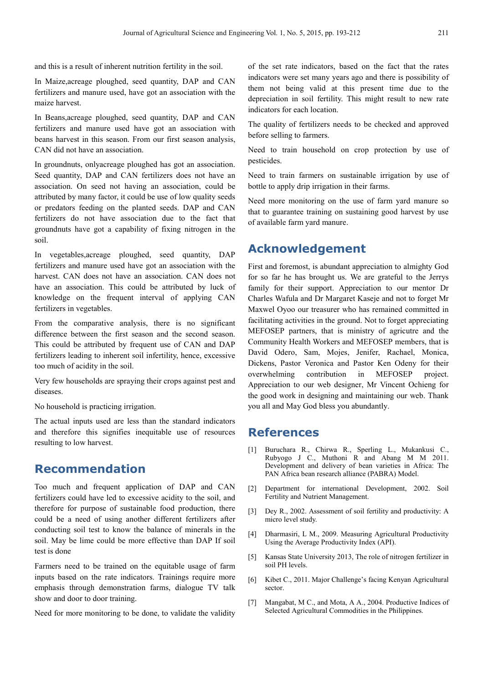and this is a result of inherent nutrition fertility in the soil.

In Maize,acreage ploughed, seed quantity, DAP and CAN fertilizers and manure used, have got an association with the maize harvest.

In Beans,acreage ploughed, seed quantity, DAP and CAN fertilizers and manure used have got an association with beans harvest in this season. From our first season analysis, CAN did not have an association.

In groundnuts, onlyacreage ploughed has got an association. Seed quantity, DAP and CAN fertilizers does not have an association. On seed not having an association, could be attributed by many factor, it could be use of low quality seeds or predators feeding on the planted seeds. DAP and CAN fertilizers do not have association due to the fact that groundnuts have got a capability of fixing nitrogen in the soil.

In vegetables,acreage ploughed, seed quantity, DAP fertilizers and manure used have got an association with the harvest. CAN does not have an association. CAN does not have an association. This could be attributed by luck of knowledge on the frequent interval of applying CAN fertilizers in vegetables.

From the comparative analysis, there is no significant difference between the first season and the second season. This could be attributed by frequent use of CAN and DAP fertilizers leading to inherent soil infertility, hence, excessive too much of acidity in the soil.

Very few households are spraying their crops against pest and diseases.

No household is practicing irrigation.

The actual inputs used are less than the standard indicators and therefore this signifies inequitable use of resources resulting to low harvest.

# **Recommendation**

Too much and frequent application of DAP and CAN fertilizers could have led to excessive acidity to the soil, and therefore for purpose of sustainable food production, there could be a need of using another different fertilizers after conducting soil test to know the balance of minerals in the soil. May be lime could be more effective than DAP If soil test is done

Farmers need to be trained on the equitable usage of farm inputs based on the rate indicators. Trainings require more emphasis through demonstration farms, dialogue TV talk show and door to door training.

Need for more monitoring to be done, to validate the validity

of the set rate indicators, based on the fact that the rates indicators were set many years ago and there is possibility of them not being valid at this present time due to the depreciation in soil fertility. This might result to new rate indicators for each location.

The quality of fertilizers needs to be checked and approved before selling to farmers.

Need to train household on crop protection by use of pesticides.

Need to train farmers on sustainable irrigation by use of bottle to apply drip irrigation in their farms.

Need more monitoring on the use of farm yard manure so that to guarantee training on sustaining good harvest by use of available farm yard manure.

# **Acknowledgement**

First and foremost, is abundant appreciation to almighty God for so far he has brought us. We are grateful to the Jerrys family for their support. Appreciation to our mentor Dr Charles Wafula and Dr Margaret Kaseje and not to forget Mr Maxwel Oyoo our treasurer who has remained committed in facilitating activities in the ground. Not to forget appreciating MEFOSEP partners, that is ministry of agricutre and the Community Health Workers and MEFOSEP members, that is David Odero, Sam, Mojes, Jenifer, Rachael, Monica, Dickens, Pastor Veronica and Pastor Ken Odeny for their overwhelming contribution in MEFOSEP project. Appreciation to our web designer, Mr Vincent Ochieng for the good work in designing and maintaining our web. Thank you all and May God bless you abundantly.

# **References**

- [1] Buruchara R., Chirwa R., Sperling L., Mukankusi C., Rubyogo J C., Muthoni R and Abang M M 2011. Development and delivery of bean varieties in Africa: The PAN Africa bean research alliance (PABRA) Model.
- [2] Department for international Development, 2002. Soil Fertility and Nutrient Management.
- [3] Dey R., 2002. Assessment of soil fertility and productivity: A micro level study.
- [4] Dharmasiri, L M., 2009. Measuring Agricultural Productivity Using the Average Productivity Index (API).
- [5] Kansas State University 2013, The role of nitrogen fertilizer in soil PH levels.
- [6] Kibet C., 2011. Major Challenge's facing Kenyan Agricultural sector.
- [7] Mangabat, M C., and Mota, A A., 2004. Productive Indices of Selected Agricultural Commodities in the Philippines.